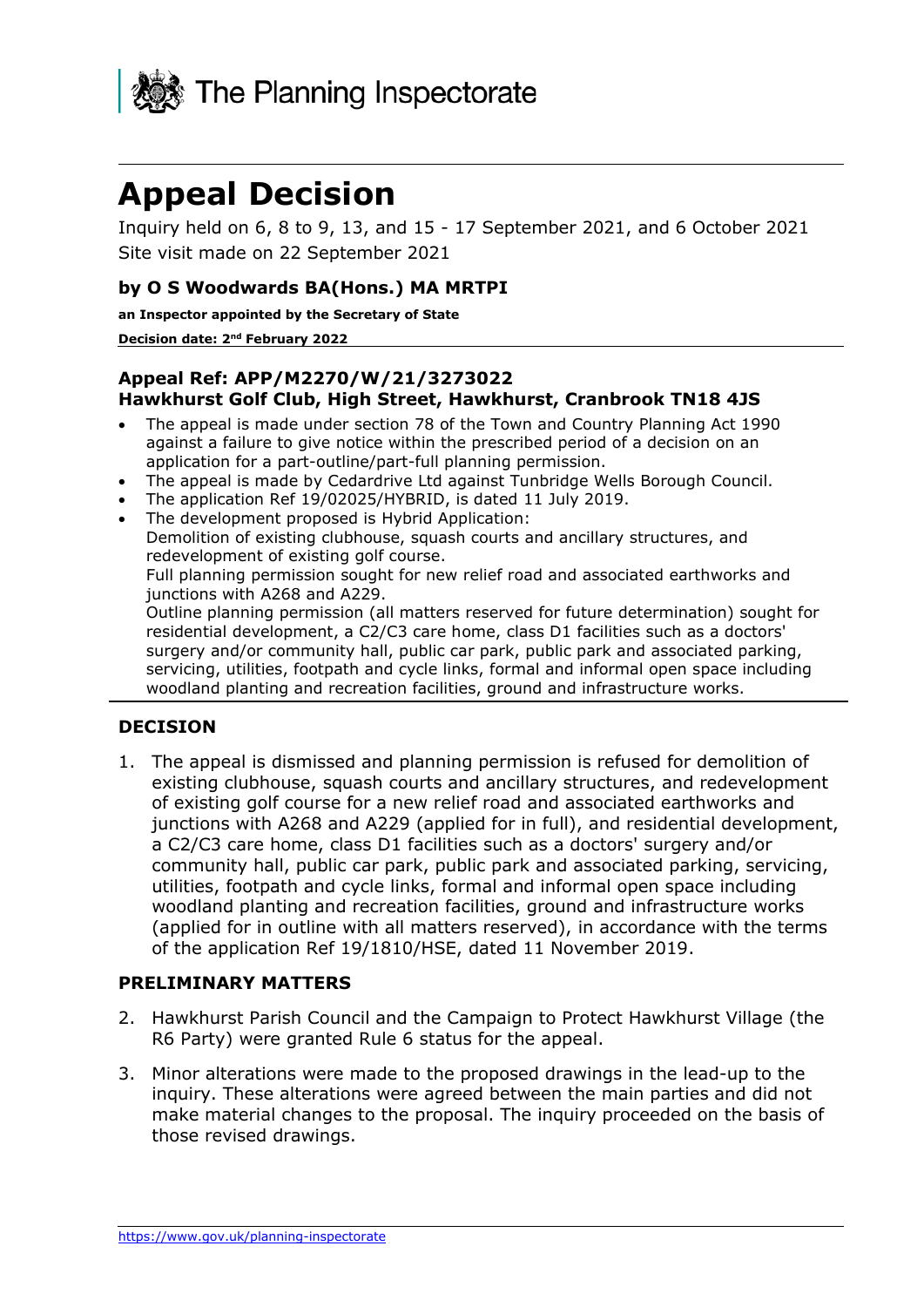

# **Appeal Decision**

Inquiry held on 6, 8 to 9, 13, and 15 - 17 September 2021, and 6 October 2021 Site visit made on 22 September 2021

## **by O S Woodwards BA(Hons.) MA MRTPI**

**an Inspector appointed by the Secretary of State** 

**Decision date: 2<sup>nd</sup> February 2022** 

#### **Appeal Ref: APP/M2270/W/21/3273022 Hawkhurst Golf Club, High Street, Hawkhurst, Cranbrook TN18 4JS**

- The appeal is made under section 78 of the Town and Country Planning Act 1990 against a failure to give notice within the prescribed period of a decision on an application for a part-outline/part-full planning permission.
- The appeal is made by Cedardrive Ltd against Tunbridge Wells Borough Council.
- The application Ref 19/02025/HYBRID, is dated 11 July 2019.
- The development proposed is Hybrid Application:

Demolition of existing clubhouse, squash courts and ancillary structures, and redevelopment of existing golf course.

Full planning permission sought for new relief road and associated earthworks and junctions with A268 and A229.

Outline planning permission (all matters reserved for future determination) sought for residential development, a C2/C3 care home, class D1 facilities such as a doctors' surgery and/or community hall, public car park, public park and associated parking, servicing, utilities, footpath and cycle links, formal and informal open space including woodland planting and recreation facilities, ground and infrastructure works.

#### **DECISION**

1. The appeal is dismissed and planning permission is refused for demolition of existing clubhouse, squash courts and ancillary structures, and redevelopment of existing golf course for a new relief road and associated earthworks and junctions with A268 and A229 (applied for in full), and residential development, a C2/C3 care home, class D1 facilities such as a doctors' surgery and/or community hall, public car park, public park and associated parking, servicing, utilities, footpath and cycle links, formal and informal open space including woodland planting and recreation facilities, ground and infrastructure works (applied for in outline with all matters reserved), in accordance with the terms of the application Ref 19/1810/HSE, dated 11 November 2019.

#### **PRELIMINARY MATTERS**

- 2. Hawkhurst Parish Council and the Campaign to Protect Hawkhurst Village (the R6 Party) were granted Rule 6 status for the appeal.
- 3. Minor alterations were made to the proposed drawings in the lead-up to the inquiry. These alterations were agreed between the main parties and did not make material changes to the proposal. The inquiry proceeded on the basis of those revised drawings.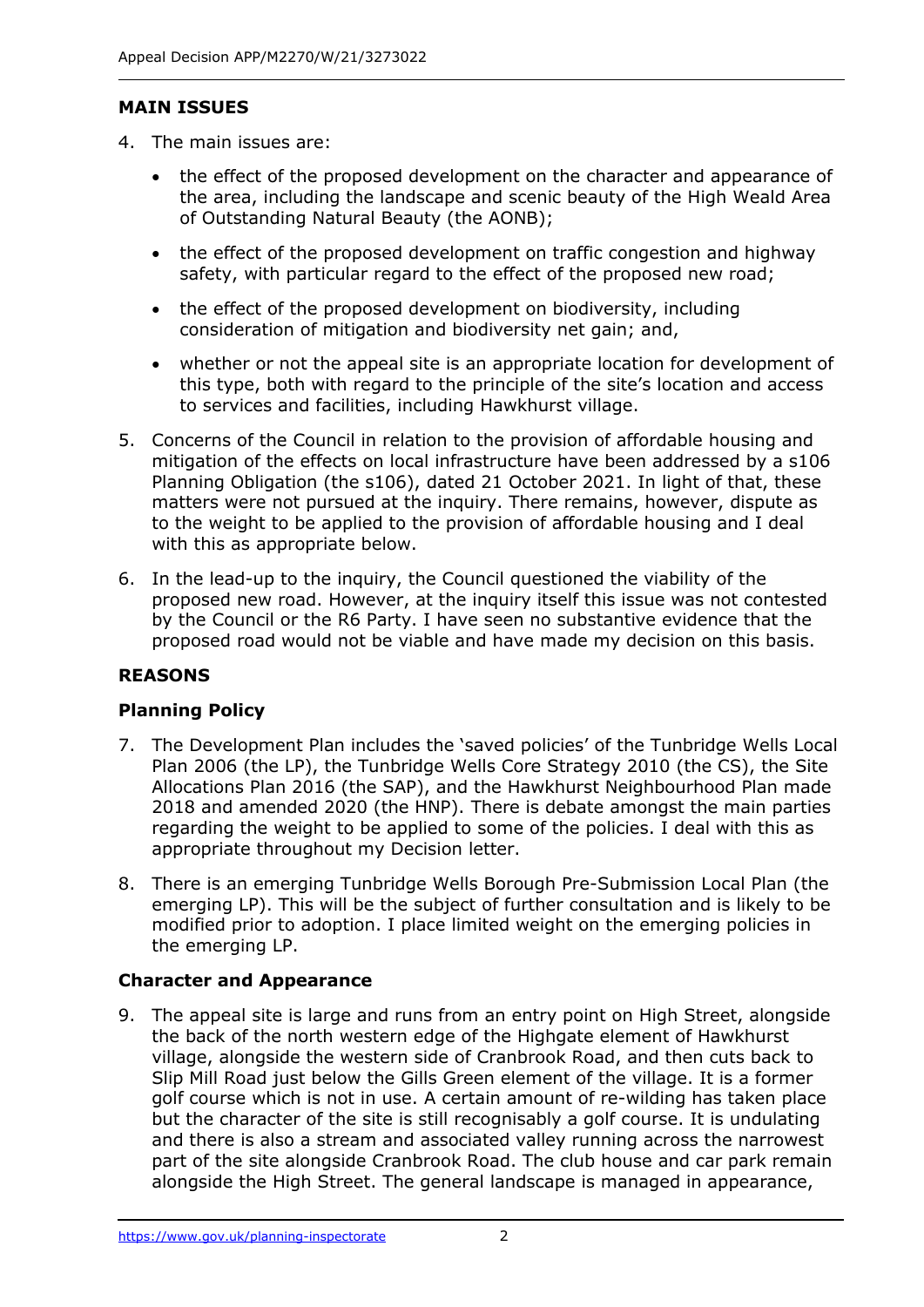# **MAIN ISSUES**

- 4. The main issues are:
	- the effect of the proposed development on the character and appearance of the area, including the landscape and scenic beauty of the High Weald Area of Outstanding Natural Beauty (the AONB);
	- the effect of the proposed development on traffic congestion and highway safety, with particular regard to the effect of the proposed new road;
	- the effect of the proposed development on biodiversity, including consideration of mitigation and biodiversity net gain; and,
	- whether or not the appeal site is an appropriate location for development of this type, both with regard to the principle of the site's location and access to services and facilities, including Hawkhurst village.
- 5. Concerns of the Council in relation to the provision of affordable housing and mitigation of the effects on local infrastructure have been addressed by a s106 Planning Obligation (the s106), dated 21 October 2021. In light of that, these matters were not pursued at the inquiry. There remains, however, dispute as to the weight to be applied to the provision of affordable housing and I deal with this as appropriate below.
- 6. In the lead-up to the inquiry, the Council questioned the viability of the proposed new road. However, at the inquiry itself this issue was not contested by the Council or the R6 Party. I have seen no substantive evidence that the proposed road would not be viable and have made my decision on this basis.

# **REASONS**

# **Planning Policy**

- 7. The Development Plan includes the 'saved policies' of the Tunbridge Wells Local Plan 2006 (the LP), the Tunbridge Wells Core Strategy 2010 (the CS), the Site Allocations Plan 2016 (the SAP), and the Hawkhurst Neighbourhood Plan made 2018 and amended 2020 (the HNP). There is debate amongst the main parties regarding the weight to be applied to some of the policies. I deal with this as appropriate throughout my Decision letter.
- 8. There is an emerging Tunbridge Wells Borough Pre-Submission Local Plan (the emerging LP). This will be the subject of further consultation and is likely to be modified prior to adoption. I place limited weight on the emerging policies in the emerging LP.

# **Character and Appearance**

9. The appeal site is large and runs from an entry point on High Street, alongside the back of the north western edge of the Highgate element of Hawkhurst village, alongside the western side of Cranbrook Road, and then cuts back to Slip Mill Road just below the Gills Green element of the village. It is a former golf course which is not in use. A certain amount of re-wilding has taken place but the character of the site is still recognisably a golf course. It is undulating and there is also a stream and associated valley running across the narrowest part of the site alongside Cranbrook Road. The club house and car park remain alongside the High Street. The general landscape is managed in appearance,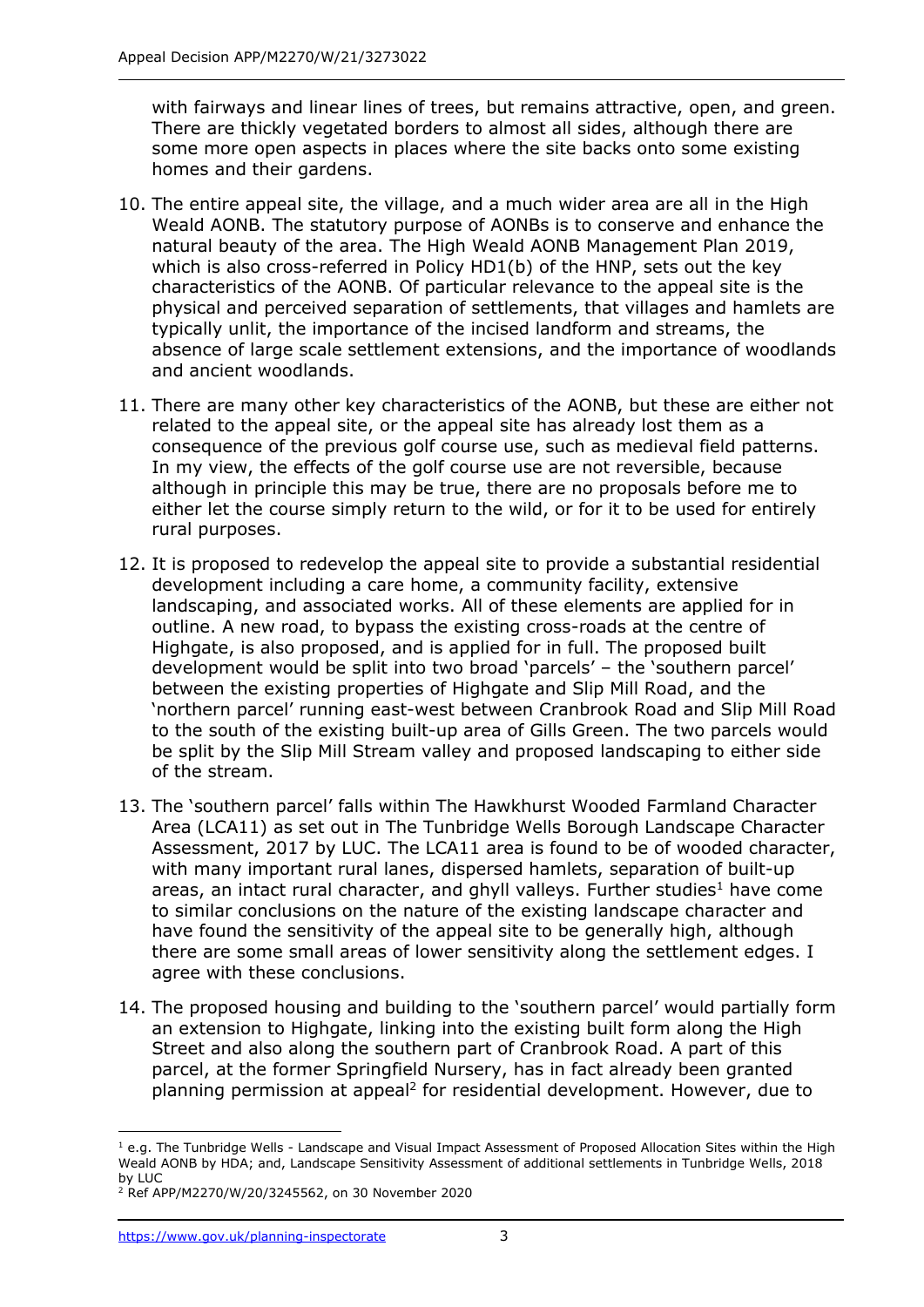with fairways and linear lines of trees, but remains attractive, open, and green. There are thickly vegetated borders to almost all sides, although there are some more open aspects in places where the site backs onto some existing homes and their gardens.

- 10. The entire appeal site, the village, and a much wider area are all in the High Weald AONB. The statutory purpose of AONBs is to conserve and enhance the natural beauty of the area. The High Weald AONB Management Plan 2019, which is also cross-referred in Policy HD1(b) of the HNP, sets out the key characteristics of the AONB. Of particular relevance to the appeal site is the physical and perceived separation of settlements, that villages and hamlets are typically unlit, the importance of the incised landform and streams, the absence of large scale settlement extensions, and the importance of woodlands and ancient woodlands.
- 11. There are many other key characteristics of the AONB, but these are either not related to the appeal site, or the appeal site has already lost them as a consequence of the previous golf course use, such as medieval field patterns. In my view, the effects of the golf course use are not reversible, because although in principle this may be true, there are no proposals before me to either let the course simply return to the wild, or for it to be used for entirely rural purposes.
- 12. It is proposed to redevelop the appeal site to provide a substantial residential development including a care home, a community facility, extensive landscaping, and associated works. All of these elements are applied for in outline. A new road, to bypass the existing cross-roads at the centre of Highgate, is also proposed, and is applied for in full. The proposed built development would be split into two broad 'parcels' – the 'southern parcel' between the existing properties of Highgate and Slip Mill Road, and the 'northern parcel' running east-west between Cranbrook Road and Slip Mill Road to the south of the existing built-up area of Gills Green. The two parcels would be split by the Slip Mill Stream valley and proposed landscaping to either side of the stream.
- 13. The 'southern parcel' falls within The Hawkhurst Wooded Farmland Character Area (LCA11) as set out in The Tunbridge Wells Borough Landscape Character Assessment, 2017 by LUC. The LCA11 area is found to be of wooded character, with many important rural lanes, dispersed hamlets, separation of built-up areas, an intact rural character, and ghyll valleys. Further studies<sup>1</sup> have come to similar conclusions on the nature of the existing landscape character and have found the sensitivity of the appeal site to be generally high, although there are some small areas of lower sensitivity along the settlement edges. I agree with these conclusions.
- 14. The proposed housing and building to the 'southern parcel' would partially form an extension to Highgate, linking into the existing built form along the High Street and also along the southern part of Cranbrook Road. A part of this parcel, at the former Springfield Nursery, has in fact already been granted planning permission at appeal<sup>2</sup> for residential development. However, due to

 $1$  e.g. The Tunbridge Wells - Landscape and Visual Impact Assessment of Proposed Allocation Sites within the High Weald AONB by HDA; and, Landscape Sensitivity Assessment of additional settlements in Tunbridge Wells, 2018 by LUC

<sup>2</sup> Ref APP/M2270/W/20/3245562, on 30 November 2020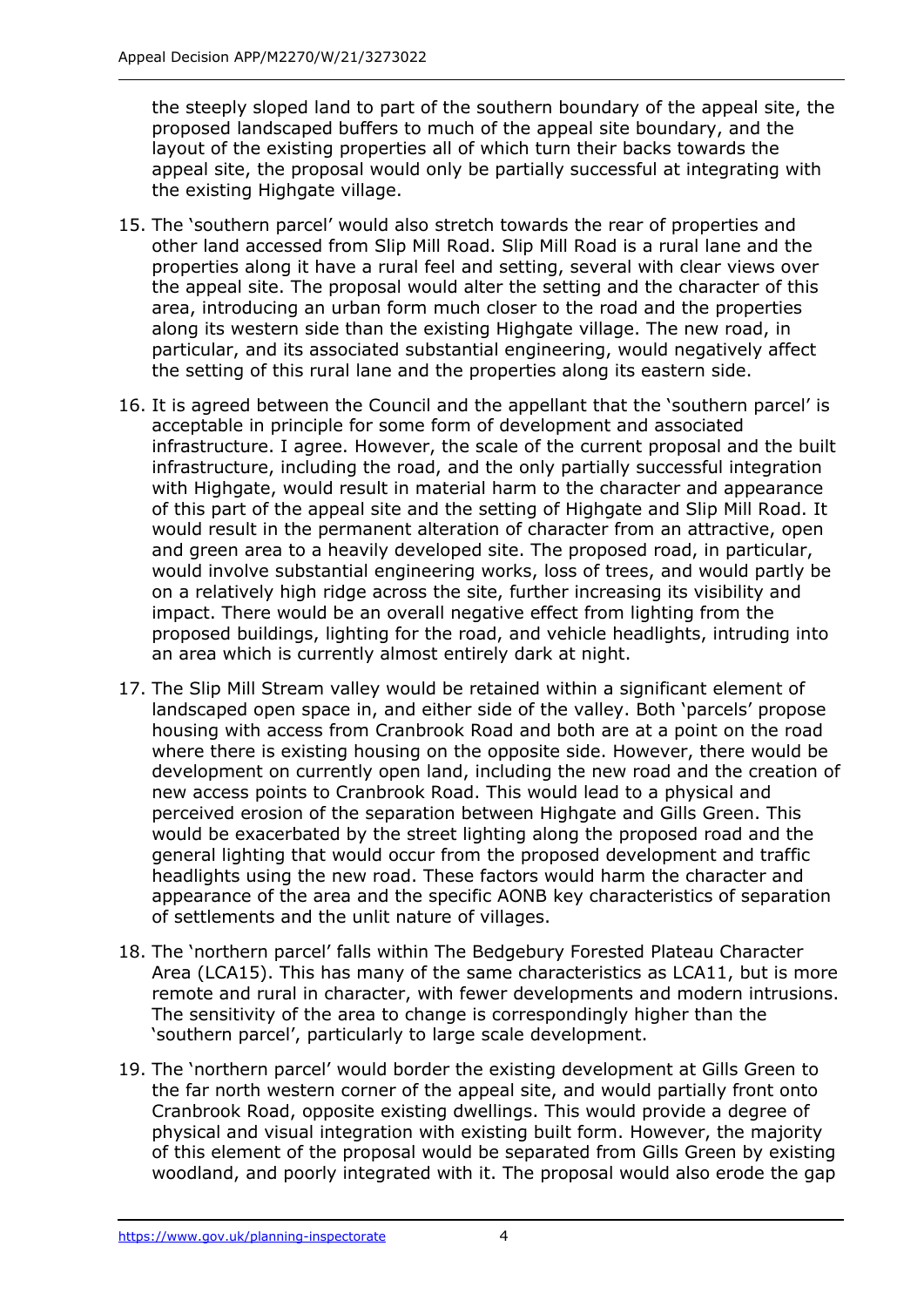the steeply sloped land to part of the southern boundary of the appeal site, the proposed landscaped buffers to much of the appeal site boundary, and the layout of the existing properties all of which turn their backs towards the appeal site, the proposal would only be partially successful at integrating with the existing Highgate village.

- 15. The 'southern parcel' would also stretch towards the rear of properties and other land accessed from Slip Mill Road. Slip Mill Road is a rural lane and the properties along it have a rural feel and setting, several with clear views over the appeal site. The proposal would alter the setting and the character of this area, introducing an urban form much closer to the road and the properties along its western side than the existing Highgate village. The new road, in particular, and its associated substantial engineering, would negatively affect the setting of this rural lane and the properties along its eastern side.
- 16. It is agreed between the Council and the appellant that the 'southern parcel' is acceptable in principle for some form of development and associated infrastructure. I agree. However, the scale of the current proposal and the built infrastructure, including the road, and the only partially successful integration with Highgate, would result in material harm to the character and appearance of this part of the appeal site and the setting of Highgate and Slip Mill Road. It would result in the permanent alteration of character from an attractive, open and green area to a heavily developed site. The proposed road, in particular, would involve substantial engineering works, loss of trees, and would partly be on a relatively high ridge across the site, further increasing its visibility and impact. There would be an overall negative effect from lighting from the proposed buildings, lighting for the road, and vehicle headlights, intruding into an area which is currently almost entirely dark at night.
- 17. The Slip Mill Stream valley would be retained within a significant element of landscaped open space in, and either side of the valley. Both 'parcels' propose housing with access from Cranbrook Road and both are at a point on the road where there is existing housing on the opposite side. However, there would be development on currently open land, including the new road and the creation of new access points to Cranbrook Road. This would lead to a physical and perceived erosion of the separation between Highgate and Gills Green. This would be exacerbated by the street lighting along the proposed road and the general lighting that would occur from the proposed development and traffic headlights using the new road. These factors would harm the character and appearance of the area and the specific AONB key characteristics of separation of settlements and the unlit nature of villages.
- 18. The 'northern parcel' falls within The Bedgebury Forested Plateau Character Area (LCA15). This has many of the same characteristics as LCA11, but is more remote and rural in character, with fewer developments and modern intrusions. The sensitivity of the area to change is correspondingly higher than the 'southern parcel', particularly to large scale development.
- 19. The 'northern parcel' would border the existing development at Gills Green to the far north western corner of the appeal site, and would partially front onto Cranbrook Road, opposite existing dwellings. This would provide a degree of physical and visual integration with existing built form. However, the majority of this element of the proposal would be separated from Gills Green by existing woodland, and poorly integrated with it. The proposal would also erode the gap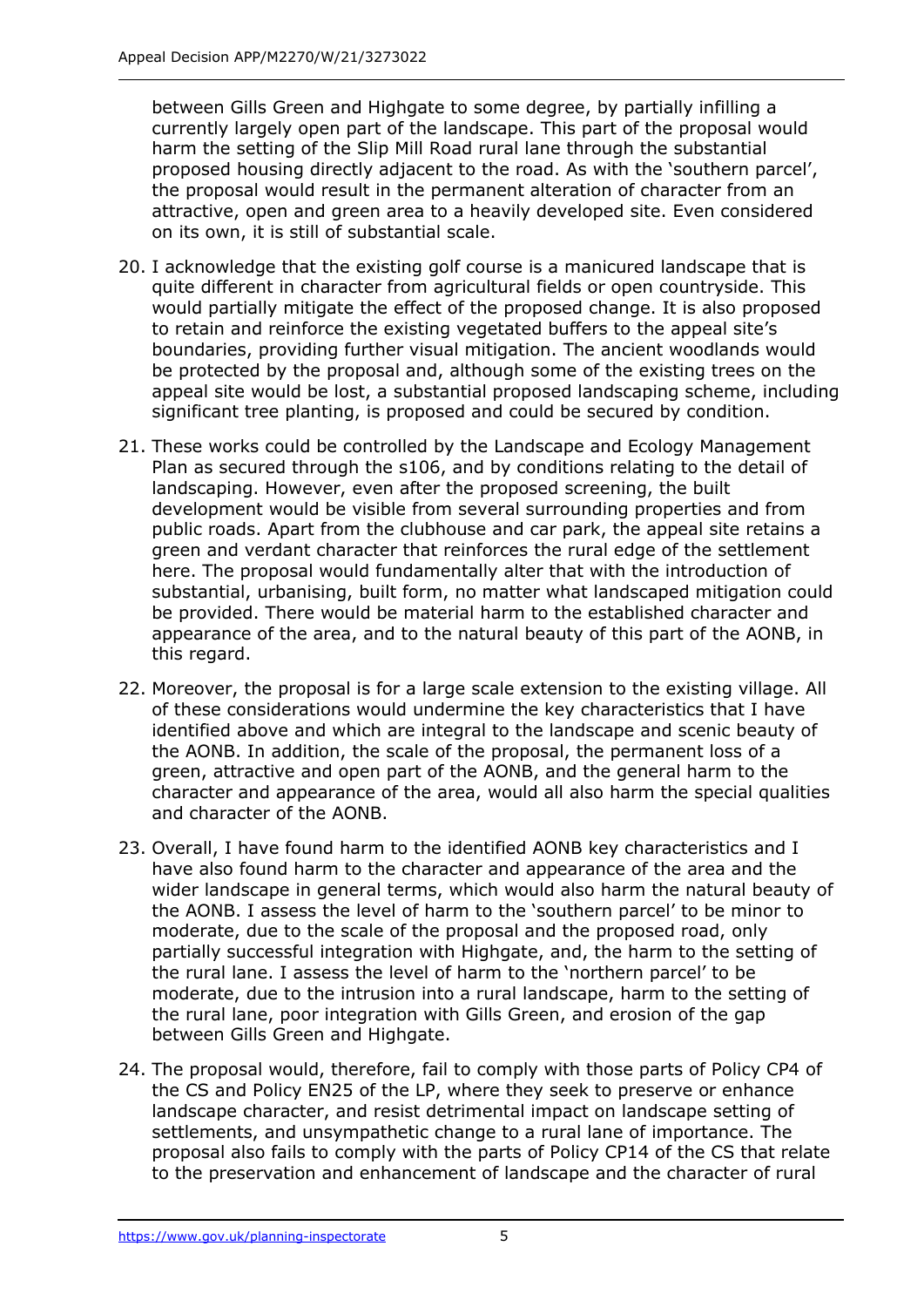between Gills Green and Highgate to some degree, by partially infilling a currently largely open part of the landscape. This part of the proposal would harm the setting of the Slip Mill Road rural lane through the substantial proposed housing directly adjacent to the road. As with the 'southern parcel', the proposal would result in the permanent alteration of character from an attractive, open and green area to a heavily developed site. Even considered on its own, it is still of substantial scale.

- 20. I acknowledge that the existing golf course is a manicured landscape that is quite different in character from agricultural fields or open countryside. This would partially mitigate the effect of the proposed change. It is also proposed to retain and reinforce the existing vegetated buffers to the appeal site's boundaries, providing further visual mitigation. The ancient woodlands would be protected by the proposal and, although some of the existing trees on the appeal site would be lost, a substantial proposed landscaping scheme, including significant tree planting, is proposed and could be secured by condition.
- 21. These works could be controlled by the Landscape and Ecology Management Plan as secured through the s106, and by conditions relating to the detail of landscaping. However, even after the proposed screening, the built development would be visible from several surrounding properties and from public roads. Apart from the clubhouse and car park, the appeal site retains a green and verdant character that reinforces the rural edge of the settlement here. The proposal would fundamentally alter that with the introduction of substantial, urbanising, built form, no matter what landscaped mitigation could be provided. There would be material harm to the established character and appearance of the area, and to the natural beauty of this part of the AONB, in this regard.
- 22. Moreover, the proposal is for a large scale extension to the existing village. All of these considerations would undermine the key characteristics that I have identified above and which are integral to the landscape and scenic beauty of the AONB. In addition, the scale of the proposal, the permanent loss of a green, attractive and open part of the AONB, and the general harm to the character and appearance of the area, would all also harm the special qualities and character of the AONB.
- 23. Overall, I have found harm to the identified AONB key characteristics and I have also found harm to the character and appearance of the area and the wider landscape in general terms, which would also harm the natural beauty of the AONB. I assess the level of harm to the 'southern parcel' to be minor to moderate, due to the scale of the proposal and the proposed road, only partially successful integration with Highgate, and, the harm to the setting of the rural lane. I assess the level of harm to the 'northern parcel' to be moderate, due to the intrusion into a rural landscape, harm to the setting of the rural lane, poor integration with Gills Green, and erosion of the gap between Gills Green and Highgate.
- 24. The proposal would, therefore, fail to comply with those parts of Policy CP4 of the CS and Policy EN25 of the LP, where they seek to preserve or enhance landscape character, and resist detrimental impact on landscape setting of settlements, and unsympathetic change to a rural lane of importance. The proposal also fails to comply with the parts of Policy CP14 of the CS that relate to the preservation and enhancement of landscape and the character of rural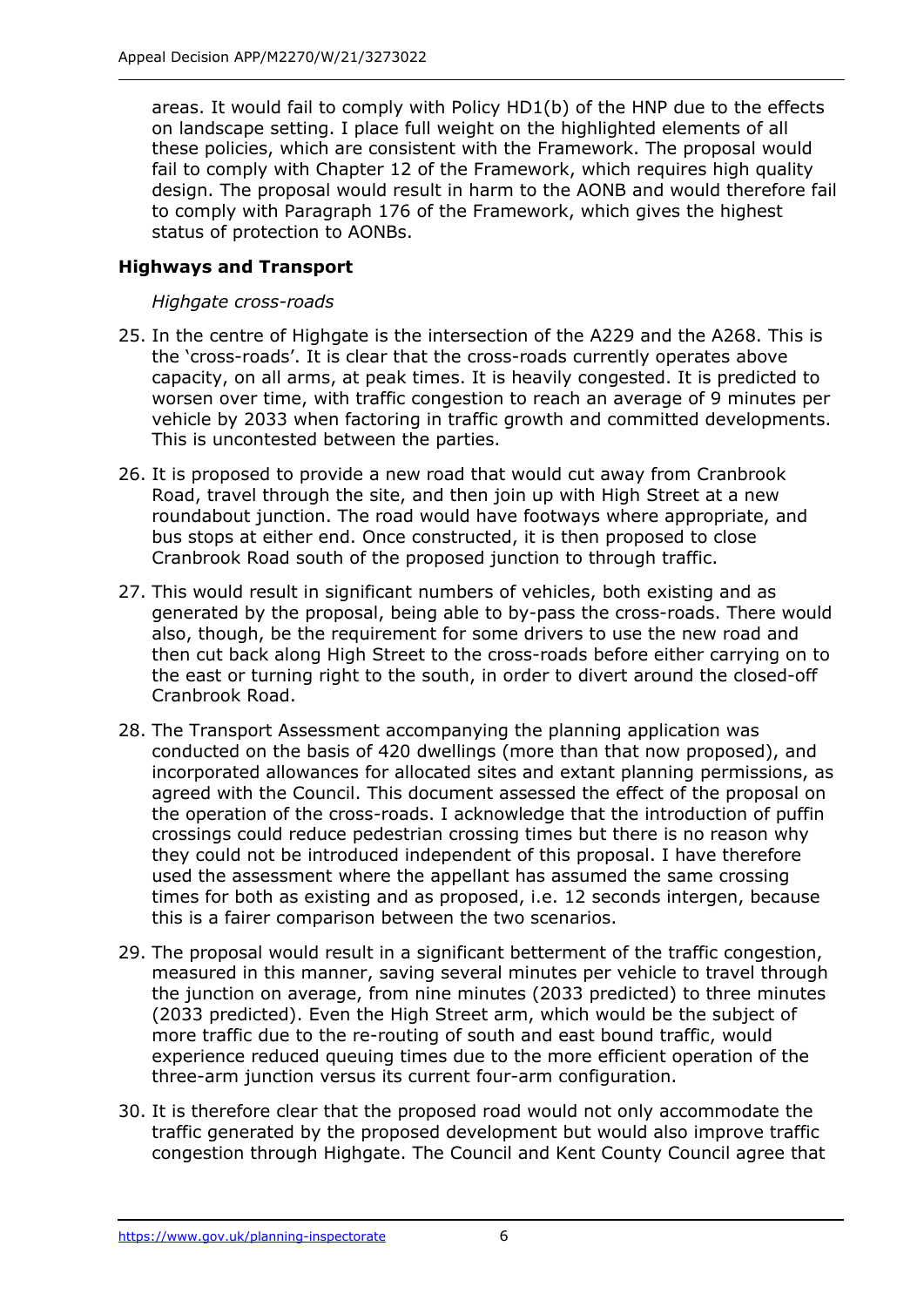areas. It would fail to comply with Policy HD1(b) of the HNP due to the effects on landscape setting. I place full weight on the highlighted elements of all these policies, which are consistent with the Framework. The proposal would fail to comply with Chapter 12 of the Framework, which requires high quality design. The proposal would result in harm to the AONB and would therefore fail to comply with Paragraph 176 of the Framework, which gives the highest status of protection to AONBs.

## **Highways and Transport**

#### *Highgate cross-roads*

- 25. In the centre of Highgate is the intersection of the A229 and the A268. This is the 'cross-roads'. It is clear that the cross-roads currently operates above capacity, on all arms, at peak times. It is heavily congested. It is predicted to worsen over time, with traffic congestion to reach an average of 9 minutes per vehicle by 2033 when factoring in traffic growth and committed developments. This is uncontested between the parties.
- 26. It is proposed to provide a new road that would cut away from Cranbrook Road, travel through the site, and then join up with High Street at a new roundabout junction. The road would have footways where appropriate, and bus stops at either end. Once constructed, it is then proposed to close Cranbrook Road south of the proposed junction to through traffic.
- 27. This would result in significant numbers of vehicles, both existing and as generated by the proposal, being able to by-pass the cross-roads. There would also, though, be the requirement for some drivers to use the new road and then cut back along High Street to the cross-roads before either carrying on to the east or turning right to the south, in order to divert around the closed-off Cranbrook Road.
- 28. The Transport Assessment accompanying the planning application was conducted on the basis of 420 dwellings (more than that now proposed), and incorporated allowances for allocated sites and extant planning permissions, as agreed with the Council. This document assessed the effect of the proposal on the operation of the cross-roads. I acknowledge that the introduction of puffin crossings could reduce pedestrian crossing times but there is no reason why they could not be introduced independent of this proposal. I have therefore used the assessment where the appellant has assumed the same crossing times for both as existing and as proposed, i.e. 12 seconds intergen, because this is a fairer comparison between the two scenarios.
- 29. The proposal would result in a significant betterment of the traffic congestion, measured in this manner, saving several minutes per vehicle to travel through the junction on average, from nine minutes (2033 predicted) to three minutes (2033 predicted). Even the High Street arm, which would be the subject of more traffic due to the re-routing of south and east bound traffic, would experience reduced queuing times due to the more efficient operation of the three-arm junction versus its current four-arm configuration.
- 30. It is therefore clear that the proposed road would not only accommodate the traffic generated by the proposed development but would also improve traffic congestion through Highgate. The Council and Kent County Council agree that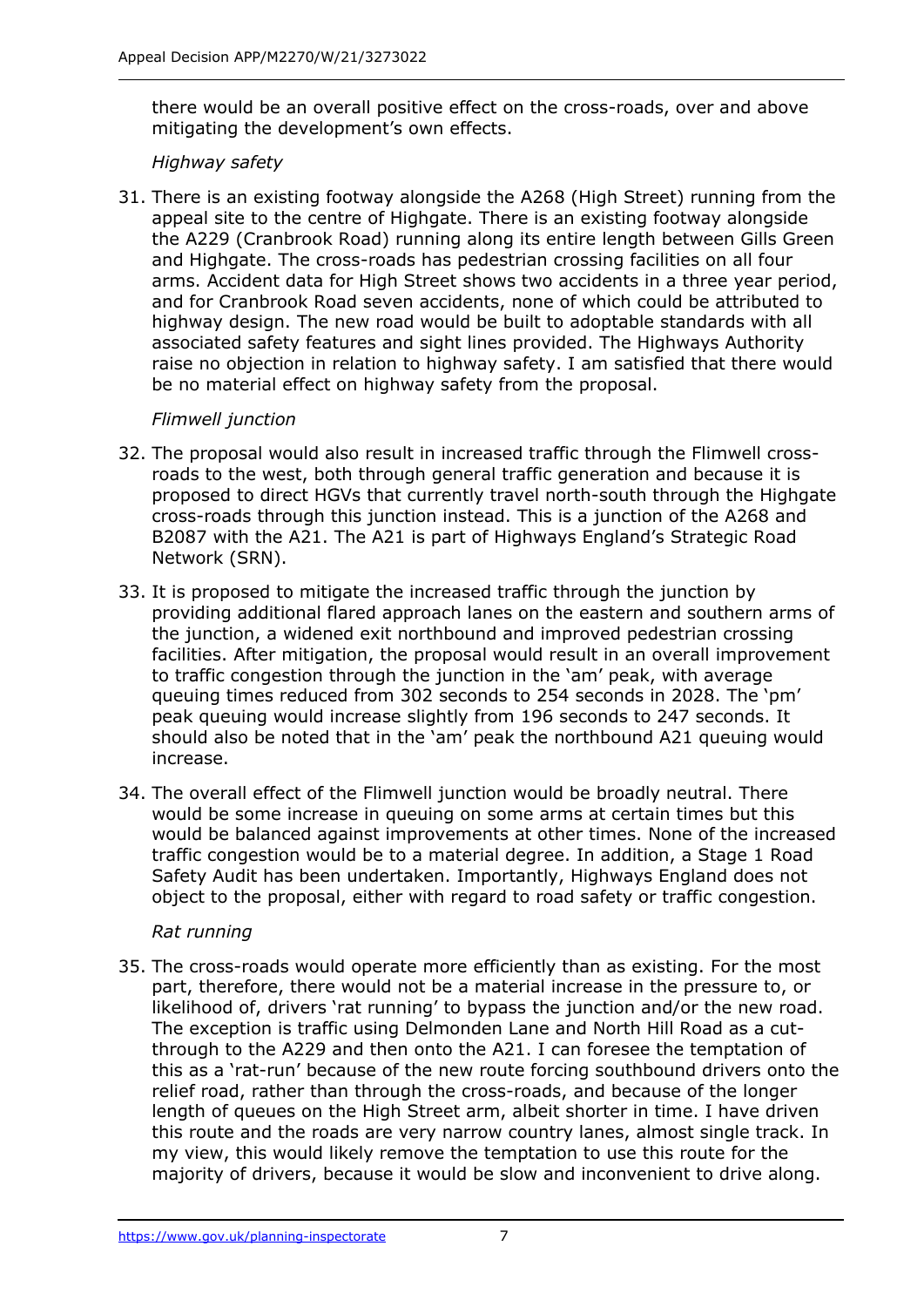there would be an overall positive effect on the cross-roads, over and above mitigating the development's own effects.

#### *Highway safety*

31. There is an existing footway alongside the A268 (High Street) running from the appeal site to the centre of Highgate. There is an existing footway alongside the A229 (Cranbrook Road) running along its entire length between Gills Green and Highgate. The cross-roads has pedestrian crossing facilities on all four arms. Accident data for High Street shows two accidents in a three year period, and for Cranbrook Road seven accidents, none of which could be attributed to highway design. The new road would be built to adoptable standards with all associated safety features and sight lines provided. The Highways Authority raise no objection in relation to highway safety. I am satisfied that there would be no material effect on highway safety from the proposal.

## *Flimwell junction*

- 32. The proposal would also result in increased traffic through the Flimwell crossroads to the west, both through general traffic generation and because it is proposed to direct HGVs that currently travel north-south through the Highgate cross-roads through this junction instead. This is a junction of the A268 and B2087 with the A21. The A21 is part of Highways England's Strategic Road Network (SRN).
- 33. It is proposed to mitigate the increased traffic through the junction by providing additional flared approach lanes on the eastern and southern arms of the junction, a widened exit northbound and improved pedestrian crossing facilities. After mitigation, the proposal would result in an overall improvement to traffic congestion through the junction in the 'am' peak, with average queuing times reduced from 302 seconds to 254 seconds in 2028. The 'pm' peak queuing would increase slightly from 196 seconds to 247 seconds. It should also be noted that in the 'am' peak the northbound A21 queuing would increase.
- 34. The overall effect of the Flimwell junction would be broadly neutral. There would be some increase in queuing on some arms at certain times but this would be balanced against improvements at other times. None of the increased traffic congestion would be to a material degree. In addition, a Stage 1 Road Safety Audit has been undertaken. Importantly, Highways England does not object to the proposal, either with regard to road safety or traffic congestion.

#### *Rat running*

35. The cross-roads would operate more efficiently than as existing. For the most part, therefore, there would not be a material increase in the pressure to, or likelihood of, drivers 'rat running' to bypass the junction and/or the new road. The exception is traffic using Delmonden Lane and North Hill Road as a cutthrough to the A229 and then onto the A21. I can foresee the temptation of this as a 'rat-run' because of the new route forcing southbound drivers onto the relief road, rather than through the cross-roads, and because of the longer length of queues on the High Street arm, albeit shorter in time. I have driven this route and the roads are very narrow country lanes, almost single track. In my view, this would likely remove the temptation to use this route for the majority of drivers, because it would be slow and inconvenient to drive along.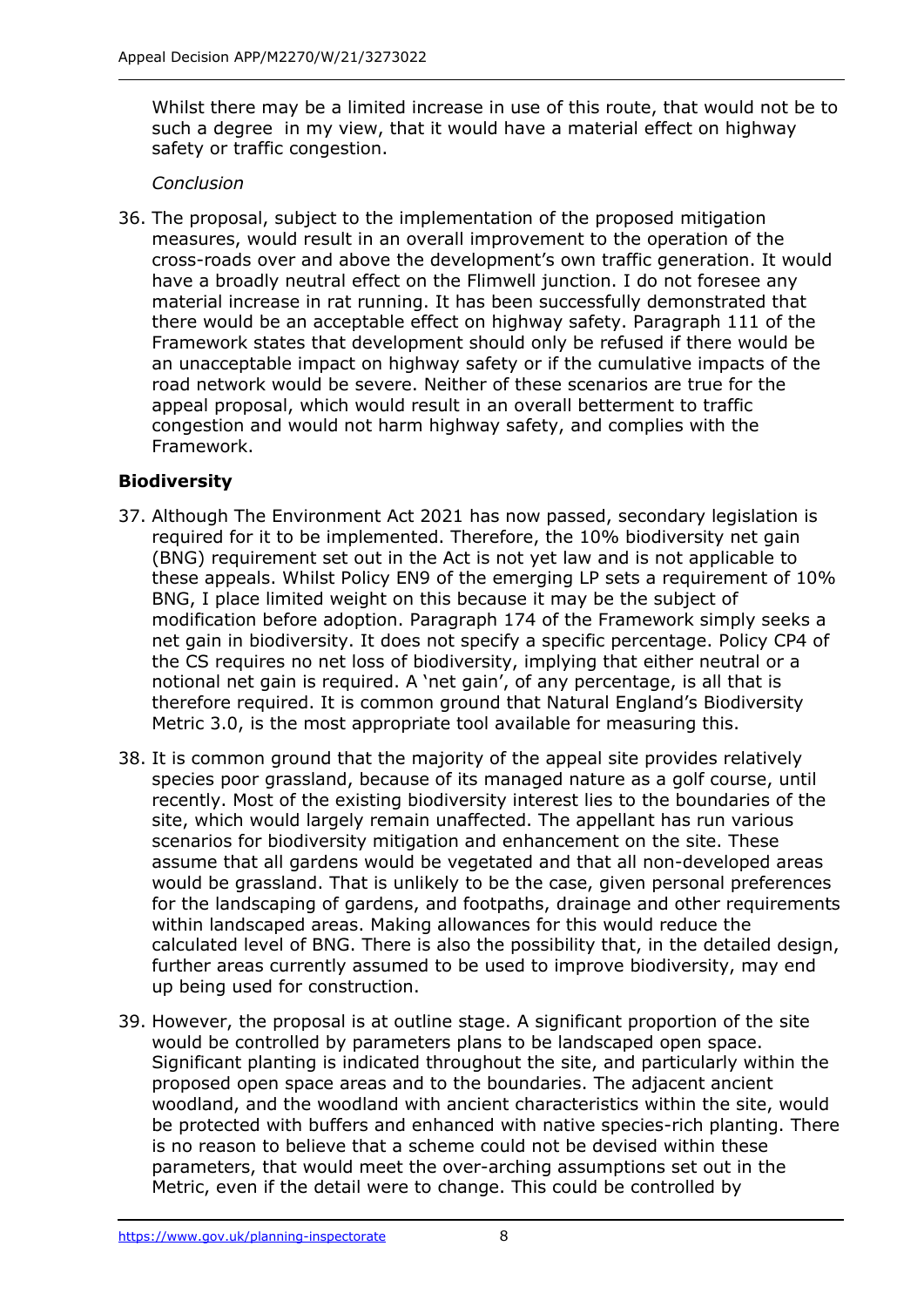Whilst there may be a limited increase in use of this route, that would not be to such a degree in my view, that it would have a material effect on highway safety or traffic congestion.

## *Conclusion*

36. The proposal, subject to the implementation of the proposed mitigation measures, would result in an overall improvement to the operation of the cross-roads over and above the development's own traffic generation. It would have a broadly neutral effect on the Flimwell junction. I do not foresee any material increase in rat running. It has been successfully demonstrated that there would be an acceptable effect on highway safety. Paragraph 111 of the Framework states that development should only be refused if there would be an unacceptable impact on highway safety or if the cumulative impacts of the road network would be severe. Neither of these scenarios are true for the appeal proposal, which would result in an overall betterment to traffic congestion and would not harm highway safety, and complies with the Framework.

# **Biodiversity**

- 37. Although The Environment Act 2021 has now passed, secondary legislation is required for it to be implemented. Therefore, the 10% biodiversity net gain (BNG) requirement set out in the Act is not yet law and is not applicable to these appeals. Whilst Policy EN9 of the emerging LP sets a requirement of 10% BNG, I place limited weight on this because it may be the subject of modification before adoption. Paragraph 174 of the Framework simply seeks a net gain in biodiversity. It does not specify a specific percentage. Policy CP4 of the CS requires no net loss of biodiversity, implying that either neutral or a notional net gain is required. A 'net gain', of any percentage, is all that is therefore required. It is common ground that Natural England's Biodiversity Metric 3.0, is the most appropriate tool available for measuring this.
- 38. It is common ground that the majority of the appeal site provides relatively species poor grassland, because of its managed nature as a golf course, until recently. Most of the existing biodiversity interest lies to the boundaries of the site, which would largely remain unaffected. The appellant has run various scenarios for biodiversity mitigation and enhancement on the site. These assume that all gardens would be vegetated and that all non-developed areas would be grassland. That is unlikely to be the case, given personal preferences for the landscaping of gardens, and footpaths, drainage and other requirements within landscaped areas. Making allowances for this would reduce the calculated level of BNG. There is also the possibility that, in the detailed design, further areas currently assumed to be used to improve biodiversity, may end up being used for construction.
- 39. However, the proposal is at outline stage. A significant proportion of the site would be controlled by parameters plans to be landscaped open space. Significant planting is indicated throughout the site, and particularly within the proposed open space areas and to the boundaries. The adjacent ancient woodland, and the woodland with ancient characteristics within the site, would be protected with buffers and enhanced with native species-rich planting. There is no reason to believe that a scheme could not be devised within these parameters, that would meet the over-arching assumptions set out in the Metric, even if the detail were to change. This could be controlled by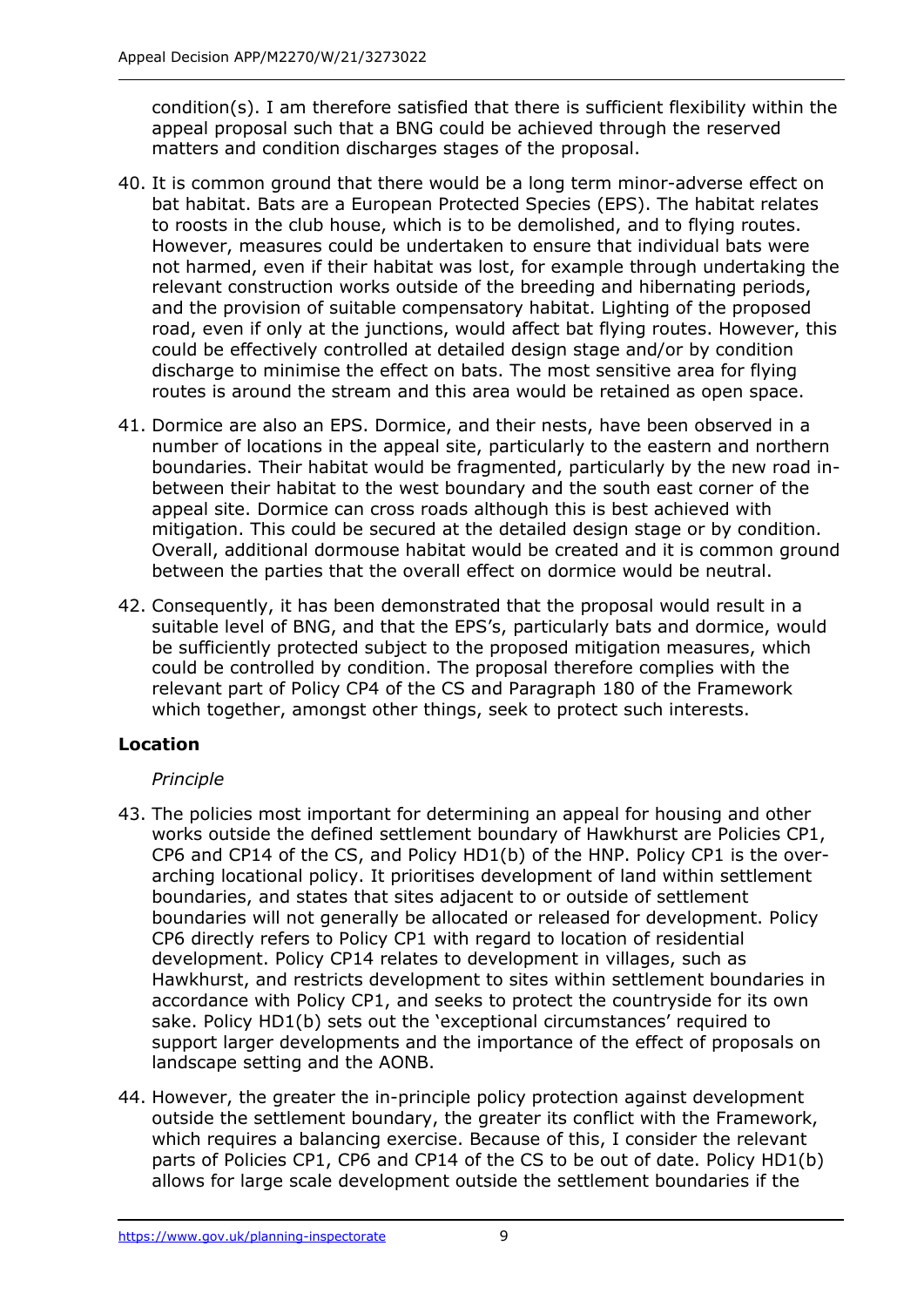condition(s). I am therefore satisfied that there is sufficient flexibility within the appeal proposal such that a BNG could be achieved through the reserved matters and condition discharges stages of the proposal.

- 40. It is common ground that there would be a long term minor-adverse effect on bat habitat. Bats are a European Protected Species (EPS). The habitat relates to roosts in the club house, which is to be demolished, and to flying routes. However, measures could be undertaken to ensure that individual bats were not harmed, even if their habitat was lost, for example through undertaking the relevant construction works outside of the breeding and hibernating periods, and the provision of suitable compensatory habitat. Lighting of the proposed road, even if only at the junctions, would affect bat flying routes. However, this could be effectively controlled at detailed design stage and/or by condition discharge to minimise the effect on bats. The most sensitive area for flying routes is around the stream and this area would be retained as open space.
- 41. Dormice are also an EPS. Dormice, and their nests, have been observed in a number of locations in the appeal site, particularly to the eastern and northern boundaries. Their habitat would be fragmented, particularly by the new road inbetween their habitat to the west boundary and the south east corner of the appeal site. Dormice can cross roads although this is best achieved with mitigation. This could be secured at the detailed design stage or by condition. Overall, additional dormouse habitat would be created and it is common ground between the parties that the overall effect on dormice would be neutral.
- 42. Consequently, it has been demonstrated that the proposal would result in a suitable level of BNG, and that the EPS's, particularly bats and dormice, would be sufficiently protected subject to the proposed mitigation measures, which could be controlled by condition. The proposal therefore complies with the relevant part of Policy CP4 of the CS and Paragraph 180 of the Framework which together, amongst other things, seek to protect such interests.

# **Location**

# *Principle*

- 43. The policies most important for determining an appeal for housing and other works outside the defined settlement boundary of Hawkhurst are Policies CP1, CP6 and CP14 of the CS, and Policy HD1(b) of the HNP. Policy CP1 is the overarching locational policy. It prioritises development of land within settlement boundaries, and states that sites adjacent to or outside of settlement boundaries will not generally be allocated or released for development. Policy CP6 directly refers to Policy CP1 with regard to location of residential development. Policy CP14 relates to development in villages, such as Hawkhurst, and restricts development to sites within settlement boundaries in accordance with Policy CP1, and seeks to protect the countryside for its own sake. Policy HD1(b) sets out the 'exceptional circumstances' required to support larger developments and the importance of the effect of proposals on landscape setting and the AONB.
- 44. However, the greater the in-principle policy protection against development outside the settlement boundary, the greater its conflict with the Framework, which requires a balancing exercise. Because of this, I consider the relevant parts of Policies CP1, CP6 and CP14 of the CS to be out of date. Policy HD1(b) allows for large scale development outside the settlement boundaries if the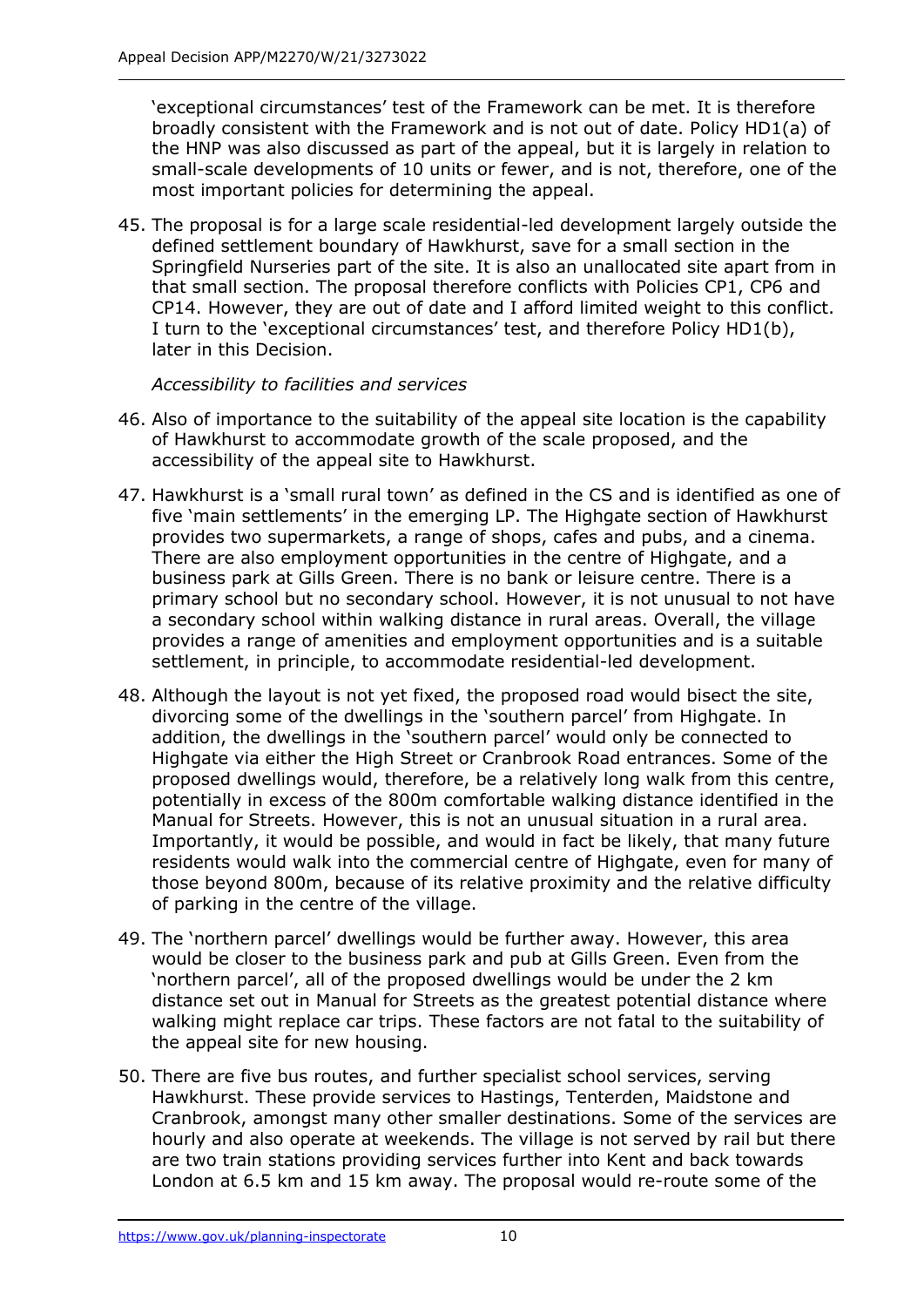'exceptional circumstances' test of the Framework can be met. It is therefore broadly consistent with the Framework and is not out of date. Policy HD1(a) of the HNP was also discussed as part of the appeal, but it is largely in relation to small-scale developments of 10 units or fewer, and is not, therefore, one of the most important policies for determining the appeal.

45. The proposal is for a large scale residential-led development largely outside the defined settlement boundary of Hawkhurst, save for a small section in the Springfield Nurseries part of the site. It is also an unallocated site apart from in that small section. The proposal therefore conflicts with Policies CP1, CP6 and CP14. However, they are out of date and I afford limited weight to this conflict. I turn to the 'exceptional circumstances' test, and therefore Policy HD1(b), later in this Decision.

*Accessibility to facilities and services*

- 46. Also of importance to the suitability of the appeal site location is the capability of Hawkhurst to accommodate growth of the scale proposed, and the accessibility of the appeal site to Hawkhurst.
- 47. Hawkhurst is a 'small rural town' as defined in the CS and is identified as one of five 'main settlements' in the emerging LP. The Highgate section of Hawkhurst provides two supermarkets, a range of shops, cafes and pubs, and a cinema. There are also employment opportunities in the centre of Highgate, and a business park at Gills Green. There is no bank or leisure centre. There is a primary school but no secondary school. However, it is not unusual to not have a secondary school within walking distance in rural areas. Overall, the village provides a range of amenities and employment opportunities and is a suitable settlement, in principle, to accommodate residential-led development.
- 48. Although the layout is not yet fixed, the proposed road would bisect the site, divorcing some of the dwellings in the 'southern parcel' from Highgate. In addition, the dwellings in the 'southern parcel' would only be connected to Highgate via either the High Street or Cranbrook Road entrances. Some of the proposed dwellings would, therefore, be a relatively long walk from this centre, potentially in excess of the 800m comfortable walking distance identified in the Manual for Streets. However, this is not an unusual situation in a rural area. Importantly, it would be possible, and would in fact be likely, that many future residents would walk into the commercial centre of Highgate, even for many of those beyond 800m, because of its relative proximity and the relative difficulty of parking in the centre of the village.
- 49. The 'northern parcel' dwellings would be further away. However, this area would be closer to the business park and pub at Gills Green. Even from the 'northern parcel', all of the proposed dwellings would be under the 2 km distance set out in Manual for Streets as the greatest potential distance where walking might replace car trips. These factors are not fatal to the suitability of the appeal site for new housing.
- 50. There are five bus routes, and further specialist school services, serving Hawkhurst. These provide services to Hastings, Tenterden, Maidstone and Cranbrook, amongst many other smaller destinations. Some of the services are hourly and also operate at weekends. The village is not served by rail but there are two train stations providing services further into Kent and back towards London at 6.5 km and 15 km away. The proposal would re-route some of the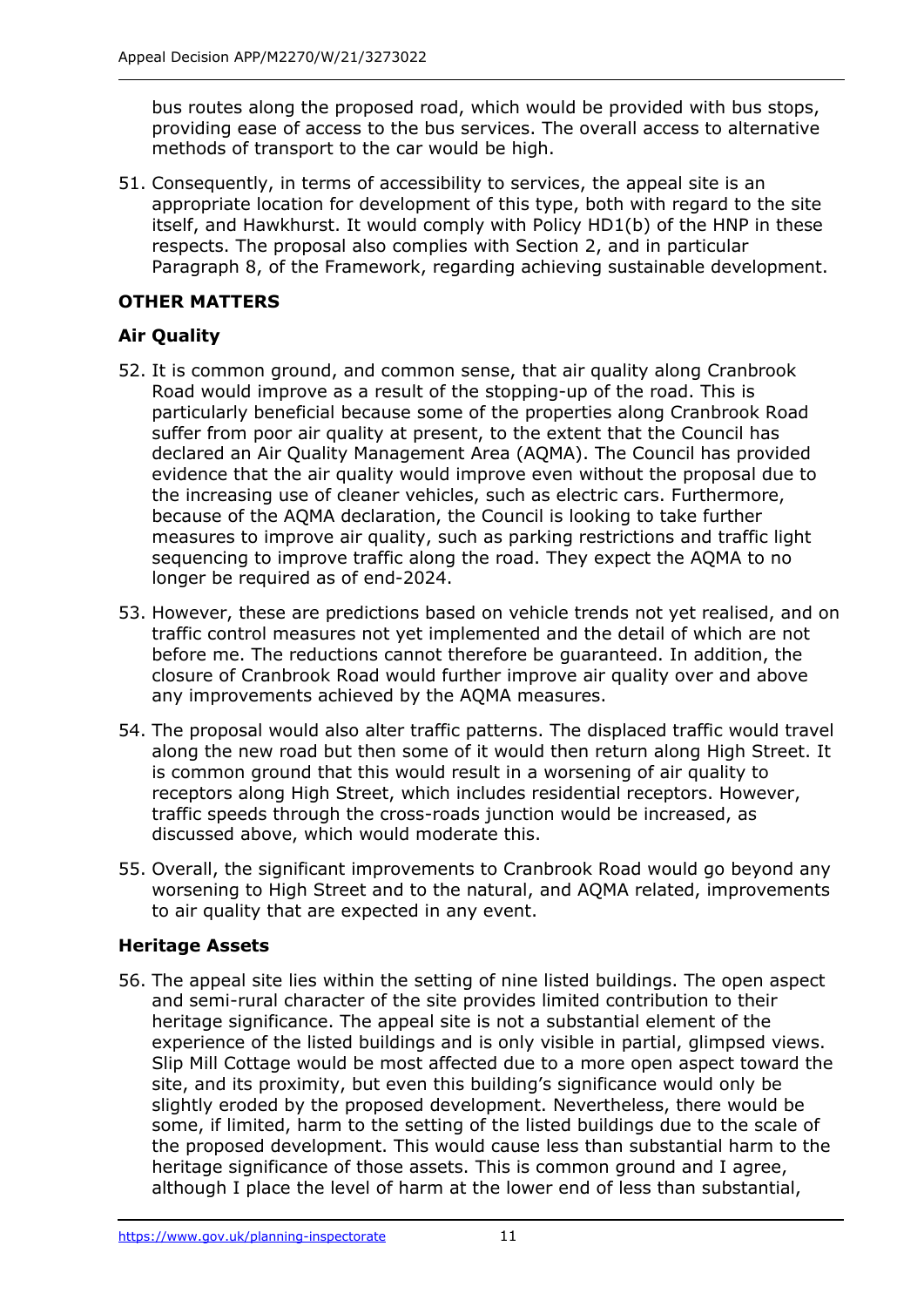bus routes along the proposed road, which would be provided with bus stops, providing ease of access to the bus services. The overall access to alternative methods of transport to the car would be high.

51. Consequently, in terms of accessibility to services, the appeal site is an appropriate location for development of this type, both with regard to the site itself, and Hawkhurst. It would comply with Policy HD1(b) of the HNP in these respects. The proposal also complies with Section 2, and in particular Paragraph 8, of the Framework, regarding achieving sustainable development.

# **OTHER MATTERS**

# **Air Quality**

- 52. It is common ground, and common sense, that air quality along Cranbrook Road would improve as a result of the stopping-up of the road. This is particularly beneficial because some of the properties along Cranbrook Road suffer from poor air quality at present, to the extent that the Council has declared an Air Quality Management Area (AQMA). The Council has provided evidence that the air quality would improve even without the proposal due to the increasing use of cleaner vehicles, such as electric cars. Furthermore, because of the AQMA declaration, the Council is looking to take further measures to improve air quality, such as parking restrictions and traffic light sequencing to improve traffic along the road. They expect the AQMA to no longer be required as of end-2024.
- 53. However, these are predictions based on vehicle trends not yet realised, and on traffic control measures not yet implemented and the detail of which are not before me. The reductions cannot therefore be guaranteed. In addition, the closure of Cranbrook Road would further improve air quality over and above any improvements achieved by the AQMA measures.
- 54. The proposal would also alter traffic patterns. The displaced traffic would travel along the new road but then some of it would then return along High Street. It is common ground that this would result in a worsening of air quality to receptors along High Street, which includes residential receptors. However, traffic speeds through the cross-roads junction would be increased, as discussed above, which would moderate this.
- 55. Overall, the significant improvements to Cranbrook Road would go beyond any worsening to High Street and to the natural, and AQMA related, improvements to air quality that are expected in any event.

#### **Heritage Assets**

56. The appeal site lies within the setting of nine listed buildings. The open aspect and semi-rural character of the site provides limited contribution to their heritage significance. The appeal site is not a substantial element of the experience of the listed buildings and is only visible in partial, glimpsed views. Slip Mill Cottage would be most affected due to a more open aspect toward the site, and its proximity, but even this building's significance would only be slightly eroded by the proposed development. Nevertheless, there would be some, if limited, harm to the setting of the listed buildings due to the scale of the proposed development. This would cause less than substantial harm to the heritage significance of those assets. This is common ground and I agree, although I place the level of harm at the lower end of less than substantial,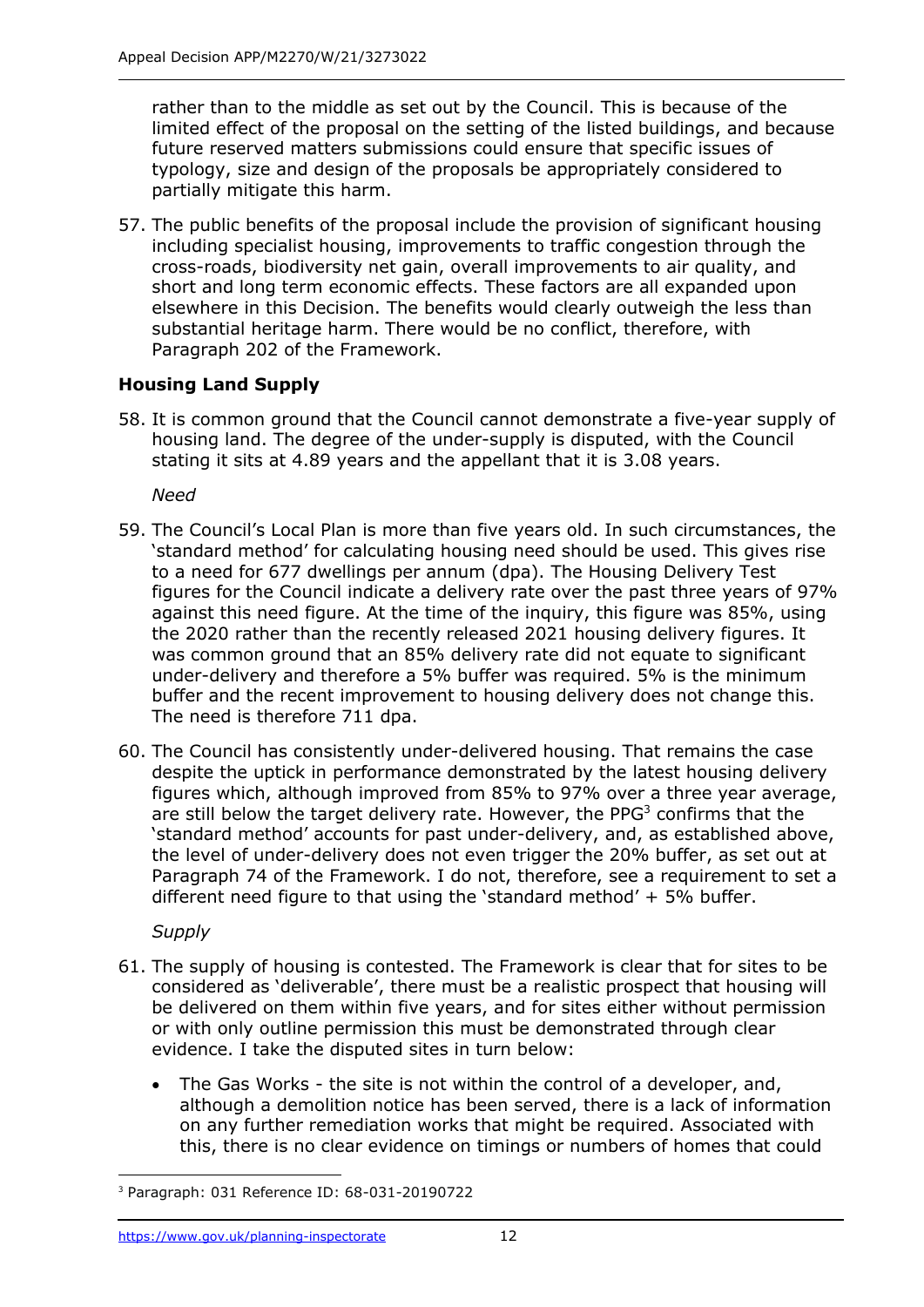rather than to the middle as set out by the Council. This is because of the limited effect of the proposal on the setting of the listed buildings, and because future reserved matters submissions could ensure that specific issues of typology, size and design of the proposals be appropriately considered to partially mitigate this harm.

57. The public benefits of the proposal include the provision of significant housing including specialist housing, improvements to traffic congestion through the cross-roads, biodiversity net gain, overall improvements to air quality, and short and long term economic effects. These factors are all expanded upon elsewhere in this Decision. The benefits would clearly outweigh the less than substantial heritage harm. There would be no conflict, therefore, with Paragraph 202 of the Framework.

# **Housing Land Supply**

58. It is common ground that the Council cannot demonstrate a five-year supply of housing land. The degree of the under-supply is disputed, with the Council stating it sits at 4.89 years and the appellant that it is 3.08 years.

*Need*

- 59. The Council's Local Plan is more than five years old. In such circumstances, the 'standard method' for calculating housing need should be used. This gives rise to a need for 677 dwellings per annum (dpa). The Housing Delivery Test figures for the Council indicate a delivery rate over the past three years of 97% against this need figure. At the time of the inquiry, this figure was 85%, using the 2020 rather than the recently released 2021 housing delivery figures. It was common ground that an 85% delivery rate did not equate to significant under-delivery and therefore a 5% buffer was required. 5% is the minimum buffer and the recent improvement to housing delivery does not change this. The need is therefore 711 dpa.
- 60. The Council has consistently under-delivered housing. That remains the case despite the uptick in performance demonstrated by the latest housing delivery figures which, although improved from 85% to 97% over a three year average, are still below the target delivery rate. However, the PPG<sup>3</sup> confirms that the 'standard method' accounts for past under-delivery, and, as established above, the level of under-delivery does not even trigger the 20% buffer, as set out at Paragraph 74 of the Framework. I do not, therefore, see a requirement to set a different need figure to that using the 'standard method' + 5% buffer.

*Supply*

- 61. The supply of housing is contested. The Framework is clear that for sites to be considered as 'deliverable', there must be a realistic prospect that housing will be delivered on them within five years, and for sites either without permission or with only outline permission this must be demonstrated through clear evidence. I take the disputed sites in turn below:
	- The Gas Works the site is not within the control of a developer, and, although a demolition notice has been served, there is a lack of information on any further remediation works that might be required. Associated with this, there is no clear evidence on timings or numbers of homes that could

<sup>3</sup> Paragraph: 031 Reference ID: 68-031-20190722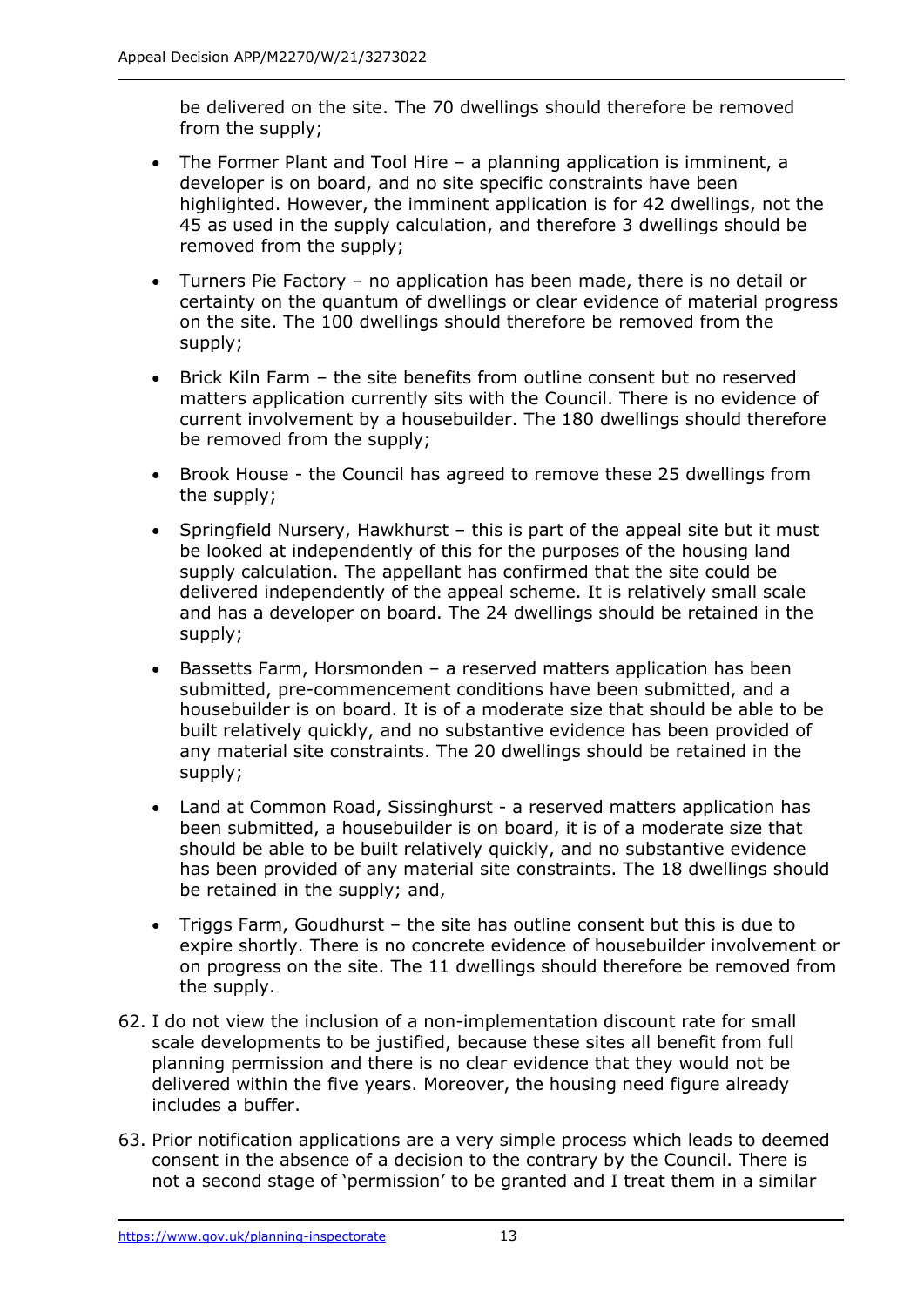be delivered on the site. The 70 dwellings should therefore be removed from the supply;

- The Former Plant and Tool Hire a planning application is imminent, a developer is on board, and no site specific constraints have been highlighted. However, the imminent application is for 42 dwellings, not the 45 as used in the supply calculation, and therefore 3 dwellings should be removed from the supply;
- Turners Pie Factory no application has been made, there is no detail or certainty on the quantum of dwellings or clear evidence of material progress on the site. The 100 dwellings should therefore be removed from the supply;
- Brick Kiln Farm the site benefits from outline consent but no reserved matters application currently sits with the Council. There is no evidence of current involvement by a housebuilder. The 180 dwellings should therefore be removed from the supply;
- Brook House the Council has agreed to remove these 25 dwellings from the supply;
- Springfield Nursery, Hawkhurst this is part of the appeal site but it must be looked at independently of this for the purposes of the housing land supply calculation. The appellant has confirmed that the site could be delivered independently of the appeal scheme. It is relatively small scale and has a developer on board. The 24 dwellings should be retained in the supply;
- Bassetts Farm, Horsmonden a reserved matters application has been submitted, pre-commencement conditions have been submitted, and a housebuilder is on board. It is of a moderate size that should be able to be built relatively quickly, and no substantive evidence has been provided of any material site constraints. The 20 dwellings should be retained in the supply;
- Land at Common Road, Sissinghurst a reserved matters application has been submitted, a housebuilder is on board, it is of a moderate size that should be able to be built relatively quickly, and no substantive evidence has been provided of any material site constraints. The 18 dwellings should be retained in the supply; and,
- Triggs Farm, Goudhurst the site has outline consent but this is due to expire shortly. There is no concrete evidence of housebuilder involvement or on progress on the site. The 11 dwellings should therefore be removed from the supply.
- 62. I do not view the inclusion of a non-implementation discount rate for small scale developments to be justified, because these sites all benefit from full planning permission and there is no clear evidence that they would not be delivered within the five years. Moreover, the housing need figure already includes a buffer.
- 63. Prior notification applications are a very simple process which leads to deemed consent in the absence of a decision to the contrary by the Council. There is not a second stage of 'permission' to be granted and I treat them in a similar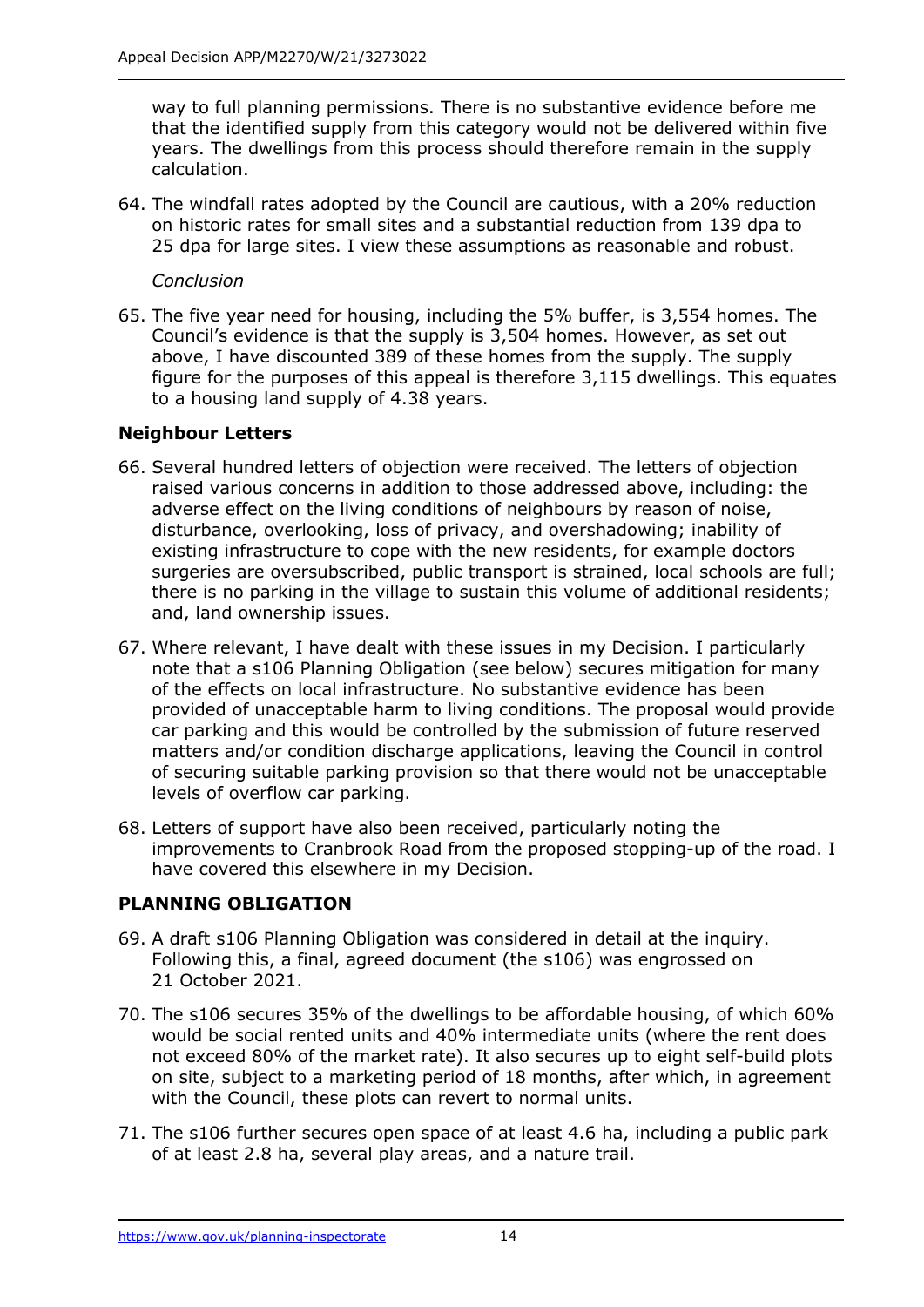way to full planning permissions. There is no substantive evidence before me that the identified supply from this category would not be delivered within five years. The dwellings from this process should therefore remain in the supply calculation.

64. The windfall rates adopted by the Council are cautious, with a 20% reduction on historic rates for small sites and a substantial reduction from 139 dpa to 25 dpa for large sites. I view these assumptions as reasonable and robust.

#### *Conclusion*

65. The five year need for housing, including the 5% buffer, is 3,554 homes. The Council's evidence is that the supply is 3,504 homes. However, as set out above, I have discounted 389 of these homes from the supply. The supply figure for the purposes of this appeal is therefore 3,115 dwellings. This equates to a housing land supply of 4.38 years.

## **Neighbour Letters**

- 66. Several hundred letters of objection were received. The letters of objection raised various concerns in addition to those addressed above, including: the adverse effect on the living conditions of neighbours by reason of noise, disturbance, overlooking, loss of privacy, and overshadowing; inability of existing infrastructure to cope with the new residents, for example doctors surgeries are oversubscribed, public transport is strained, local schools are full; there is no parking in the village to sustain this volume of additional residents; and, land ownership issues.
- 67. Where relevant, I have dealt with these issues in my Decision. I particularly note that a s106 Planning Obligation (see below) secures mitigation for many of the effects on local infrastructure. No substantive evidence has been provided of unacceptable harm to living conditions. The proposal would provide car parking and this would be controlled by the submission of future reserved matters and/or condition discharge applications, leaving the Council in control of securing suitable parking provision so that there would not be unacceptable levels of overflow car parking.
- 68. Letters of support have also been received, particularly noting the improvements to Cranbrook Road from the proposed stopping-up of the road. I have covered this elsewhere in my Decision.

# **PLANNING OBLIGATION**

- 69. A draft s106 Planning Obligation was considered in detail at the inquiry. Following this, a final, agreed document (the s106) was engrossed on 21 October 2021.
- 70. The s106 secures 35% of the dwellings to be affordable housing, of which 60% would be social rented units and 40% intermediate units (where the rent does not exceed 80% of the market rate). It also secures up to eight self-build plots on site, subject to a marketing period of 18 months, after which, in agreement with the Council, these plots can revert to normal units.
- 71. The s106 further secures open space of at least 4.6 ha, including a public park of at least 2.8 ha, several play areas, and a nature trail.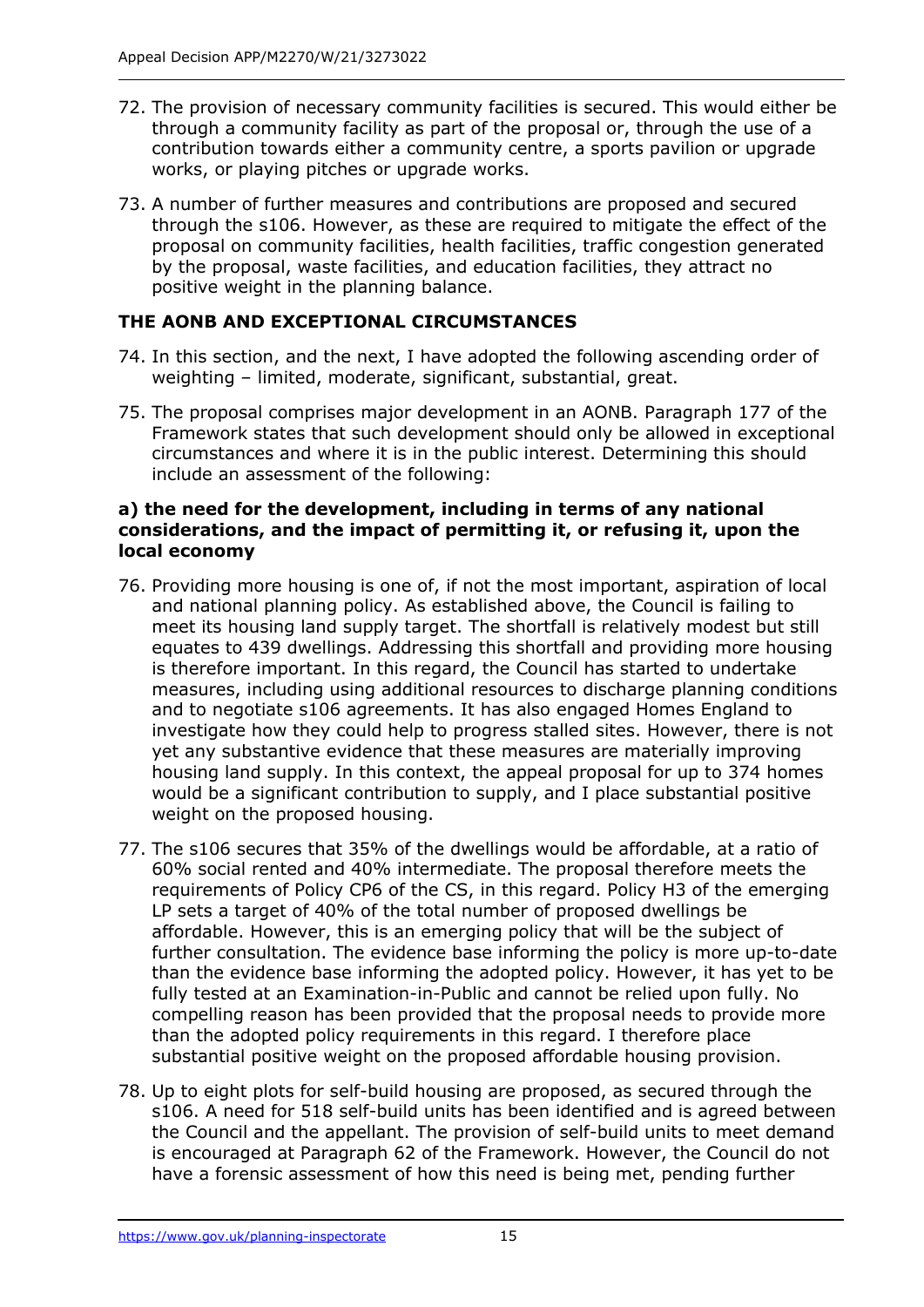- 72. The provision of necessary community facilities is secured. This would either be through a community facility as part of the proposal or, through the use of a contribution towards either a community centre, a sports pavilion or upgrade works, or playing pitches or upgrade works.
- 73. A number of further measures and contributions are proposed and secured through the s106. However, as these are required to mitigate the effect of the proposal on community facilities, health facilities, traffic congestion generated by the proposal, waste facilities, and education facilities, they attract no positive weight in the planning balance.

# **THE AONB AND EXCEPTIONAL CIRCUMSTANCES**

- 74. In this section, and the next, I have adopted the following ascending order of weighting – limited, moderate, significant, substantial, great.
- 75. The proposal comprises major development in an AONB. Paragraph 177 of the Framework states that such development should only be allowed in exceptional circumstances and where it is in the public interest. Determining this should include an assessment of the following:

#### **a) the need for the development, including in terms of any national considerations, and the impact of permitting it, or refusing it, upon the local economy**

- 76. Providing more housing is one of, if not the most important, aspiration of local and national planning policy. As established above, the Council is failing to meet its housing land supply target. The shortfall is relatively modest but still equates to 439 dwellings. Addressing this shortfall and providing more housing is therefore important. In this regard, the Council has started to undertake measures, including using additional resources to discharge planning conditions and to negotiate s106 agreements. It has also engaged Homes England to investigate how they could help to progress stalled sites. However, there is not yet any substantive evidence that these measures are materially improving housing land supply. In this context, the appeal proposal for up to 374 homes would be a significant contribution to supply, and I place substantial positive weight on the proposed housing.
- 77. The s106 secures that 35% of the dwellings would be affordable, at a ratio of 60% social rented and 40% intermediate. The proposal therefore meets the requirements of Policy CP6 of the CS, in this regard. Policy H3 of the emerging LP sets a target of 40% of the total number of proposed dwellings be affordable. However, this is an emerging policy that will be the subject of further consultation. The evidence base informing the policy is more up-to-date than the evidence base informing the adopted policy. However, it has yet to be fully tested at an Examination-in-Public and cannot be relied upon fully. No compelling reason has been provided that the proposal needs to provide more than the adopted policy requirements in this regard. I therefore place substantial positive weight on the proposed affordable housing provision.
- 78. Up to eight plots for self-build housing are proposed, as secured through the s106. A need for 518 self-build units has been identified and is agreed between the Council and the appellant. The provision of self-build units to meet demand is encouraged at Paragraph 62 of the Framework. However, the Council do not have a forensic assessment of how this need is being met, pending further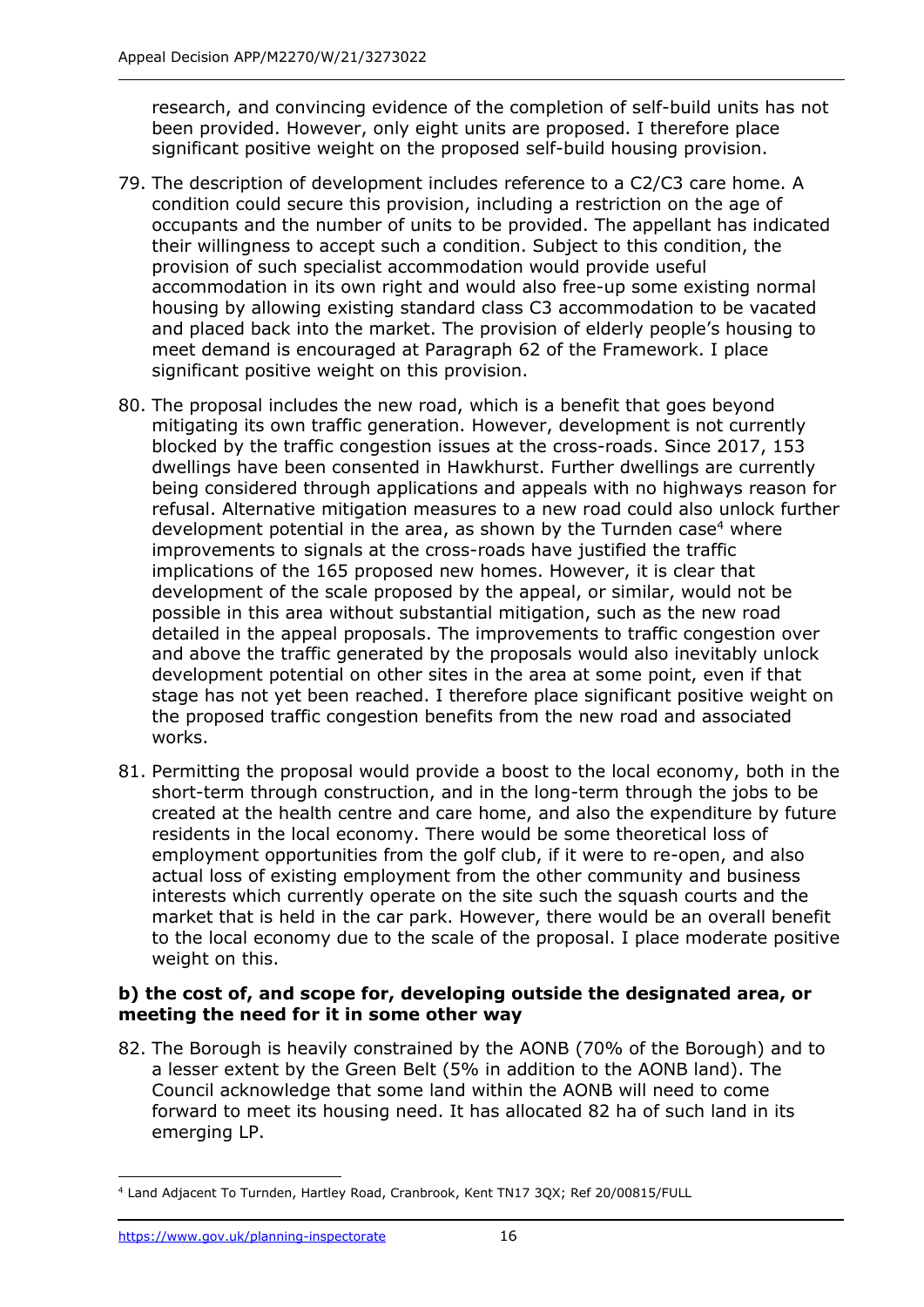research, and convincing evidence of the completion of self-build units has not been provided. However, only eight units are proposed. I therefore place significant positive weight on the proposed self-build housing provision.

- 79. The description of development includes reference to a C2/C3 care home. A condition could secure this provision, including a restriction on the age of occupants and the number of units to be provided. The appellant has indicated their willingness to accept such a condition. Subject to this condition, the provision of such specialist accommodation would provide useful accommodation in its own right and would also free-up some existing normal housing by allowing existing standard class C3 accommodation to be vacated and placed back into the market. The provision of elderly people's housing to meet demand is encouraged at Paragraph 62 of the Framework. I place significant positive weight on this provision.
- 80. The proposal includes the new road, which is a benefit that goes beyond mitigating its own traffic generation. However, development is not currently blocked by the traffic congestion issues at the cross-roads. Since 2017, 153 dwellings have been consented in Hawkhurst. Further dwellings are currently being considered through applications and appeals with no highways reason for refusal. Alternative mitigation measures to a new road could also unlock further development potential in the area, as shown by the Turnden case<sup>4</sup> where improvements to signals at the cross-roads have justified the traffic implications of the 165 proposed new homes. However, it is clear that development of the scale proposed by the appeal, or similar, would not be possible in this area without substantial mitigation, such as the new road detailed in the appeal proposals. The improvements to traffic congestion over and above the traffic generated by the proposals would also inevitably unlock development potential on other sites in the area at some point, even if that stage has not yet been reached. I therefore place significant positive weight on the proposed traffic congestion benefits from the new road and associated works.
- 81. Permitting the proposal would provide a boost to the local economy, both in the short-term through construction, and in the long-term through the jobs to be created at the health centre and care home, and also the expenditure by future residents in the local economy. There would be some theoretical loss of employment opportunities from the golf club, if it were to re-open, and also actual loss of existing employment from the other community and business interests which currently operate on the site such the squash courts and the market that is held in the car park. However, there would be an overall benefit to the local economy due to the scale of the proposal. I place moderate positive weight on this.

#### **b) the cost of, and scope for, developing outside the designated area, or meeting the need for it in some other way**

82. The Borough is heavily constrained by the AONB (70% of the Borough) and to a lesser extent by the Green Belt (5% in addition to the AONB land). The Council acknowledge that some land within the AONB will need to come forward to meet its housing need. It has allocated 82 ha of such land in its emerging LP.

<sup>4</sup> Land Adjacent To Turnden, Hartley Road, Cranbrook, Kent TN17 3QX; Ref 20/00815/FULL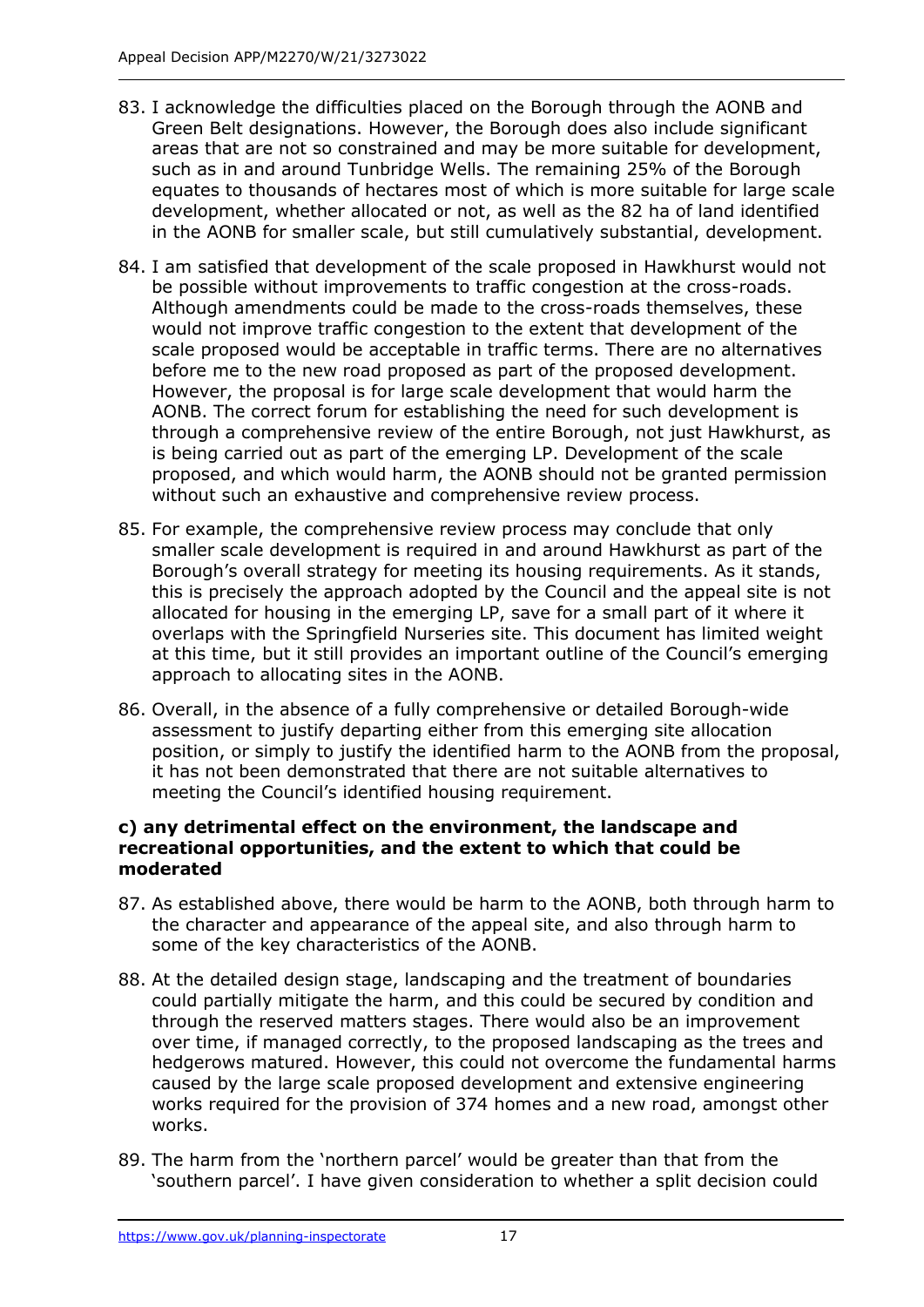- 83. I acknowledge the difficulties placed on the Borough through the AONB and Green Belt designations. However, the Borough does also include significant areas that are not so constrained and may be more suitable for development, such as in and around Tunbridge Wells. The remaining 25% of the Borough equates to thousands of hectares most of which is more suitable for large scale development, whether allocated or not, as well as the 82 ha of land identified in the AONB for smaller scale, but still cumulatively substantial, development.
- 84. I am satisfied that development of the scale proposed in Hawkhurst would not be possible without improvements to traffic congestion at the cross-roads. Although amendments could be made to the cross-roads themselves, these would not improve traffic congestion to the extent that development of the scale proposed would be acceptable in traffic terms. There are no alternatives before me to the new road proposed as part of the proposed development. However, the proposal is for large scale development that would harm the AONB. The correct forum for establishing the need for such development is through a comprehensive review of the entire Borough, not just Hawkhurst, as is being carried out as part of the emerging LP. Development of the scale proposed, and which would harm, the AONB should not be granted permission without such an exhaustive and comprehensive review process.
- 85. For example, the comprehensive review process may conclude that only smaller scale development is required in and around Hawkhurst as part of the Borough's overall strategy for meeting its housing requirements. As it stands, this is precisely the approach adopted by the Council and the appeal site is not allocated for housing in the emerging LP, save for a small part of it where it overlaps with the Springfield Nurseries site. This document has limited weight at this time, but it still provides an important outline of the Council's emerging approach to allocating sites in the AONB.
- 86. Overall, in the absence of a fully comprehensive or detailed Borough-wide assessment to justify departing either from this emerging site allocation position, or simply to justify the identified harm to the AONB from the proposal, it has not been demonstrated that there are not suitable alternatives to meeting the Council's identified housing requirement.

#### **c) any detrimental effect on the environment, the landscape and recreational opportunities, and the extent to which that could be moderated**

- 87. As established above, there would be harm to the AONB, both through harm to the character and appearance of the appeal site, and also through harm to some of the key characteristics of the AONB.
- 88. At the detailed design stage, landscaping and the treatment of boundaries could partially mitigate the harm, and this could be secured by condition and through the reserved matters stages. There would also be an improvement over time, if managed correctly, to the proposed landscaping as the trees and hedgerows matured. However, this could not overcome the fundamental harms caused by the large scale proposed development and extensive engineering works required for the provision of 374 homes and a new road, amongst other works.
- 89. The harm from the 'northern parcel' would be greater than that from the 'southern parcel'. I have given consideration to whether a split decision could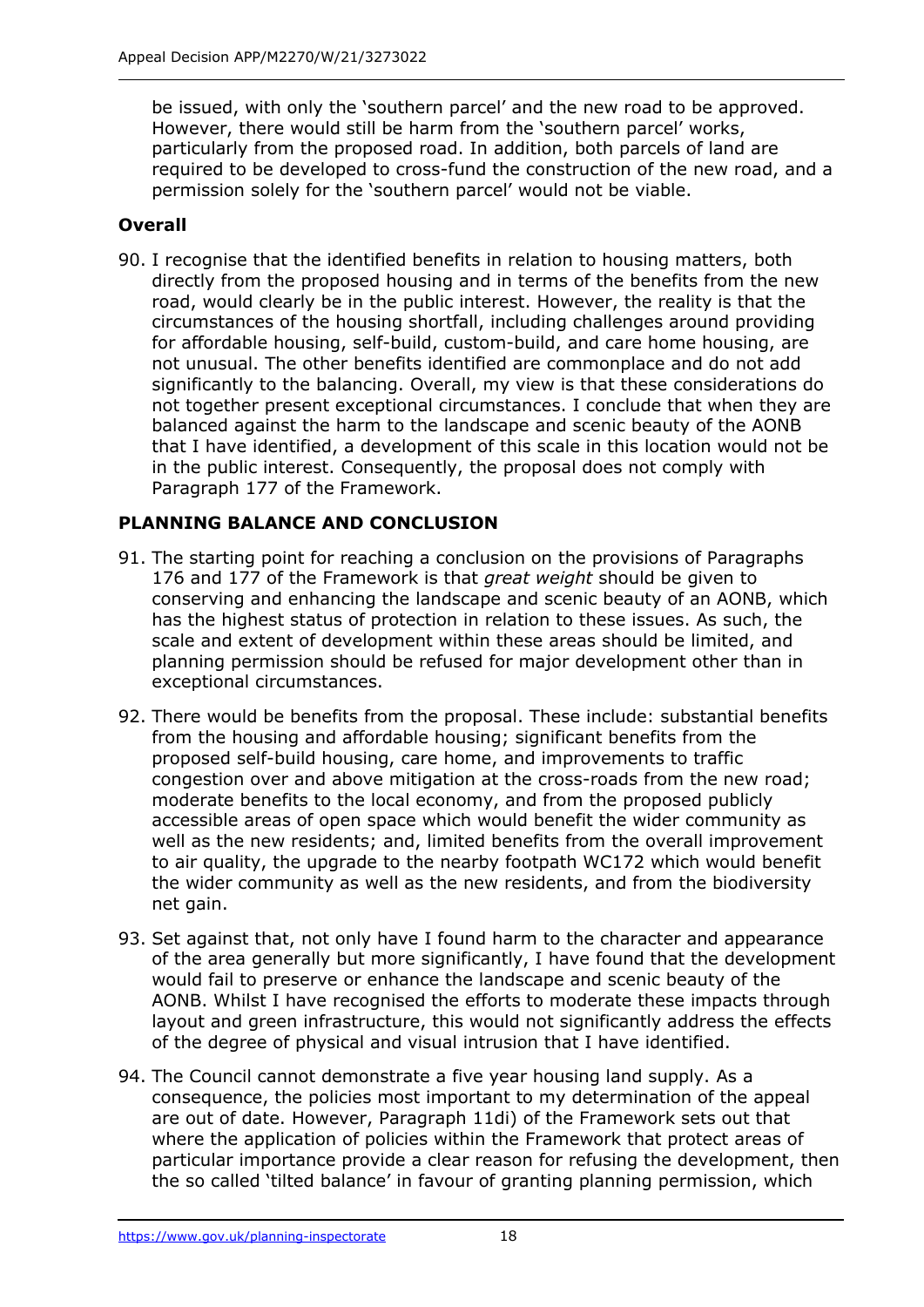be issued, with only the 'southern parcel' and the new road to be approved. However, there would still be harm from the 'southern parcel' works, particularly from the proposed road. In addition, both parcels of land are required to be developed to cross-fund the construction of the new road, and a permission solely for the 'southern parcel' would not be viable.

# **Overall**

90. I recognise that the identified benefits in relation to housing matters, both directly from the proposed housing and in terms of the benefits from the new road, would clearly be in the public interest. However, the reality is that the circumstances of the housing shortfall, including challenges around providing for affordable housing, self-build, custom-build, and care home housing, are not unusual. The other benefits identified are commonplace and do not add significantly to the balancing. Overall, my view is that these considerations do not together present exceptional circumstances. I conclude that when they are balanced against the harm to the landscape and scenic beauty of the AONB that I have identified, a development of this scale in this location would not be in the public interest. Consequently, the proposal does not comply with Paragraph 177 of the Framework.

# **PLANNING BALANCE AND CONCLUSION**

- 91. The starting point for reaching a conclusion on the provisions of Paragraphs 176 and 177 of the Framework is that *great weight* should be given to conserving and enhancing the landscape and scenic beauty of an AONB, which has the highest status of protection in relation to these issues. As such, the scale and extent of development within these areas should be limited, and planning permission should be refused for major development other than in exceptional circumstances.
- 92. There would be benefits from the proposal. These include: substantial benefits from the housing and affordable housing; significant benefits from the proposed self-build housing, care home, and improvements to traffic congestion over and above mitigation at the cross-roads from the new road; moderate benefits to the local economy, and from the proposed publicly accessible areas of open space which would benefit the wider community as well as the new residents; and, limited benefits from the overall improvement to air quality, the upgrade to the nearby footpath WC172 which would benefit the wider community as well as the new residents, and from the biodiversity net gain.
- 93. Set against that, not only have I found harm to the character and appearance of the area generally but more significantly, I have found that the development would fail to preserve or enhance the landscape and scenic beauty of the AONB. Whilst I have recognised the efforts to moderate these impacts through layout and green infrastructure, this would not significantly address the effects of the degree of physical and visual intrusion that I have identified.
- 94. The Council cannot demonstrate a five year housing land supply. As a consequence, the policies most important to my determination of the appeal are out of date. However, Paragraph 11di) of the Framework sets out that where the application of policies within the Framework that protect areas of particular importance provide a clear reason for refusing the development, then the so called 'tilted balance' in favour of granting planning permission, which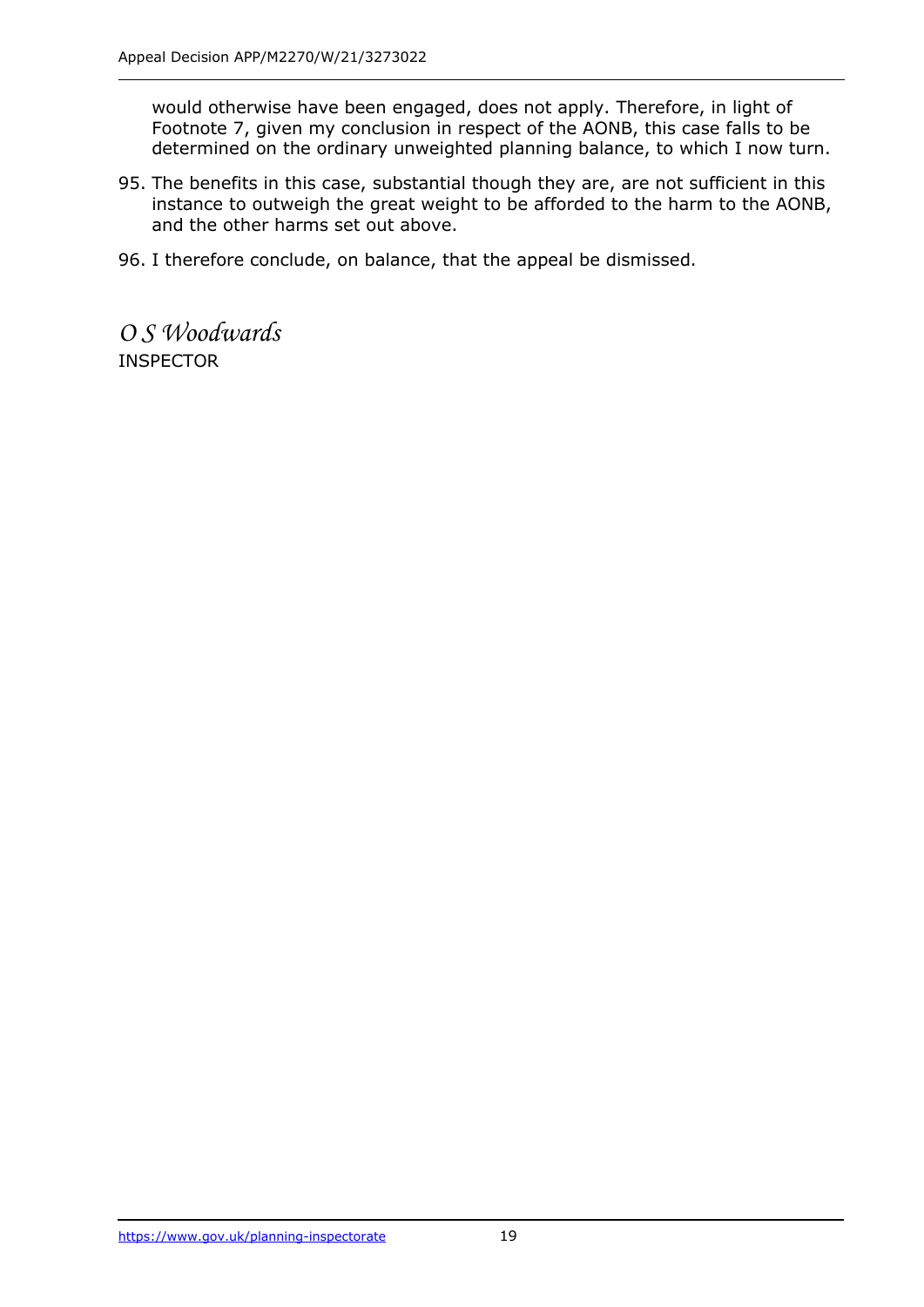would otherwise have been engaged, does not apply. Therefore, in light of Footnote 7, given my conclusion in respect of the AONB, this case falls to be determined on the ordinary unweighted planning balance, to which I now turn.

- 95. The benefits in this case, substantial though they are, are not sufficient in this instance to outweigh the great weight to be afforded to the harm to the AONB, and the other harms set out above.
- 96. I therefore conclude, on balance, that the appeal be dismissed.

*O S Woodwards* INSPECTOR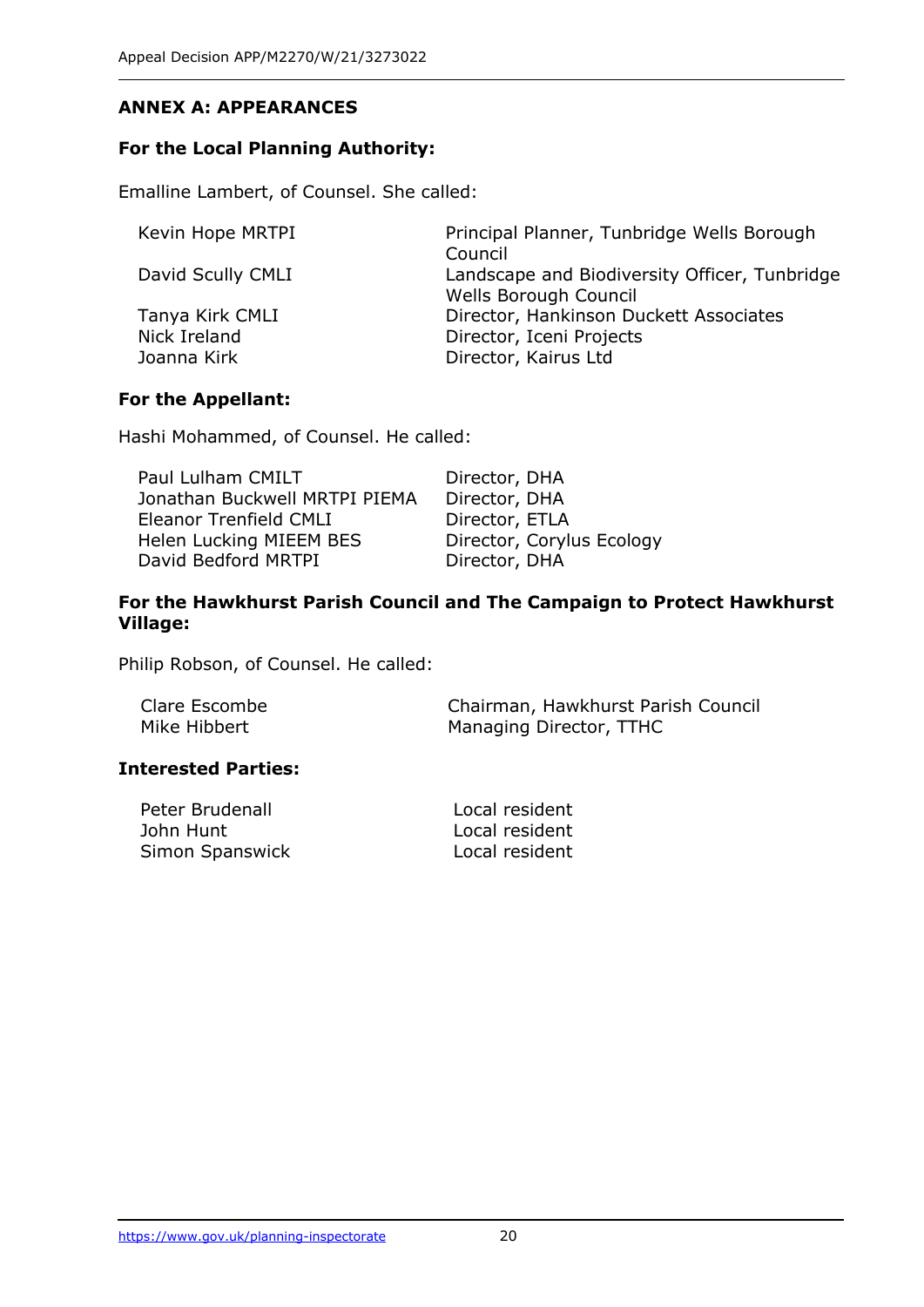# **ANNEX A: APPEARANCES**

#### **For the Local Planning Authority:**

Emalline Lambert, of Counsel. She called:

Kevin Hope MRTPI Principal Planner, Tunbridge Wells Borough Council David Scully CMLI Landscape and Biodiversity Officer, Tunbridge Wells Borough Council Tanya Kirk CMLI Director, Hankinson Duckett Associates Nick Ireland Director, Iceni Projects Joanna Kirk **Director**, Kairus Ltd

#### **For the Appellant:**

Hashi Mohammed, of Counsel. He called:

| Paul Lulham CMILT             | Director, DHA             |
|-------------------------------|---------------------------|
| Jonathan Buckwell MRTPI PIEMA | Director, DHA             |
| Eleanor Trenfield CMLI        | Director, ETLA            |
| Helen Lucking MIEEM BES       | Director, Corylus Ecology |
| David Bedford MRTPI           | Director, DHA             |

#### **For the Hawkhurst Parish Council and The Campaign to Protect Hawkhurst Village:**

Philip Robson, of Counsel. He called:

| Clare Escombe | Chairman, Hawkhurst Parish Council |
|---------------|------------------------------------|
| Mike Hibbert  | Managing Director, TTHC            |

#### **Interested Parties:**

| Peter Brudenall | Local resident |
|-----------------|----------------|
| John Hunt       | Local resident |
| Simon Spanswick | Local resident |